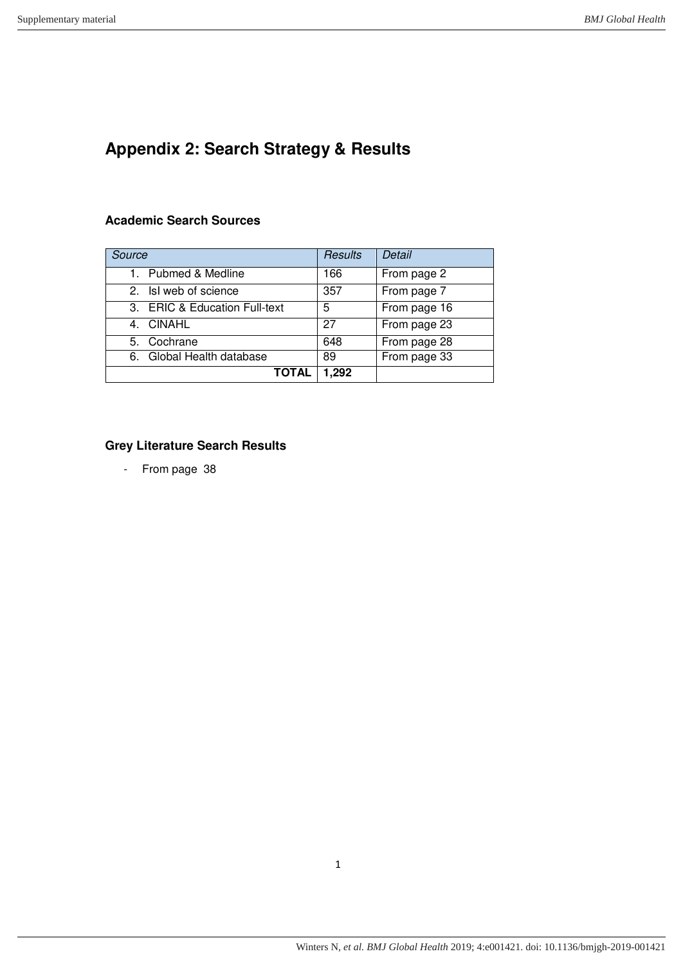# **Appendix 2: Search Strategy & Results**

### **Academic Search Sources**

| Source                        | Results | Detail       |
|-------------------------------|---------|--------------|
| 1. Pubmed & Medline           | 166     | From page 2  |
| 2. Isl web of science         | 357     | From page 7  |
| 3. ERIC & Education Full-text | 5       | From page 16 |
| 4. CINAHL                     | 27      | From page 23 |
| 5. Cochrane                   | 648     | From page 28 |
| 6. Global Health database     | 89      | From page 33 |
| <b>TOTAL</b>                  | 1,292   |              |

## **Grey Literature Search Results**

- From page 38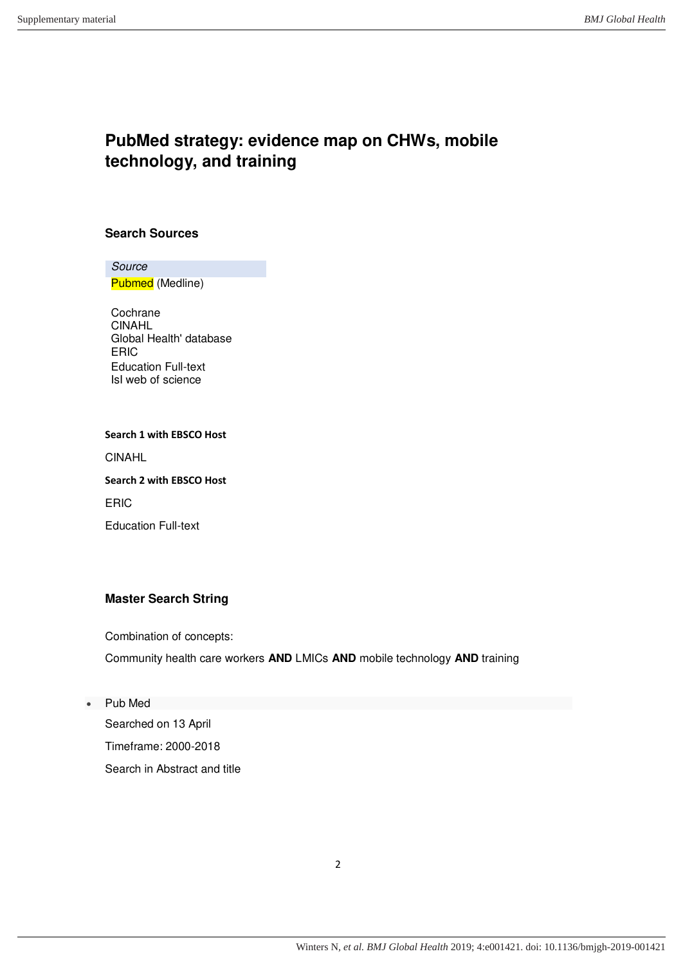## **PubMed strategy: evidence map on CHWs, mobile technology, and training**

### **Search Sources**

Source

Pubmed (Medline)

**Cochrane** CINAHL Global Health' database ERIC Education Full-text IsI web of science

| <b>Search 1 with EBSCO Host</b> |  |  |  |
|---------------------------------|--|--|--|
| <b>CINAHL</b>                   |  |  |  |
| <b>Search 2 with EBSCO Host</b> |  |  |  |
| <b>ERIC</b>                     |  |  |  |
| <b>Education Full-text</b>      |  |  |  |

## **Master Search String**

Combination of concepts: Community health care workers **AND** LMICs **AND** mobile technology **AND** training

Pub Med

Searched on 13 April Timeframe: 2000-2018 Search in Abstract and title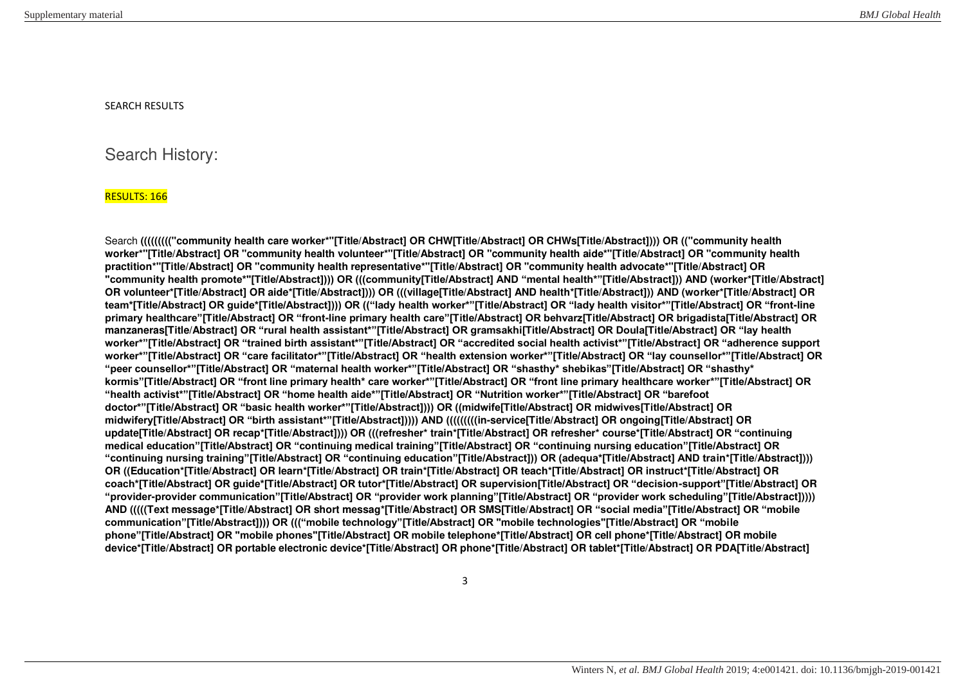## Search History:

#### RESULTS: 166

Search **((((((((("community health care worker\*"[Title/Abstract] OR CHW[Title/Abstract] OR CHWs[Title/Abstract]))) OR (("community health worker\*"[Title/Abstract] OR "community health volunteer\*"[Title/Abstract] OR "community health aide\*"[Title/Abstract] OR "community health practition\*"[Title/Abstract] OR "community health representative\*"[Title/Abstract] OR "community health advocate\*"[Title/Abstract] OR "community health promote\*"[Title/Abstract]))) OR (((community[Title/Abstract] AND "mental health\*"[Title/Abstract])) AND (worker\*[Title/Abstract] OR volunteer\*[Title/Abstract] OR aide\*[Title/Abstract]))) OR (((village[Title/Abstract] AND health\*[Title/Abstract])) AND (worker\*[Title/Abstract] OR team\*[Title/Abstract] OR guide\*[Title/Abstract]))) OR (("lady health worker\*"[Title/Abstract] OR "lady health visitor\*"[Title/Abstract] OR "front-line primary healthcare"[Title/Abstract] OR "front-line primary health care"[Title/Abstract] OR behvarz[Title/Abstract] OR brigadista[Title/Abstract] OR manzaneras[Title/Abstract] OR "rural health assistant\*"[Title/Abstract] OR gramsakhi[Title/Abstract] OR Doula[Title/Abstract] OR "lay health worker\*"[Title/Abstract] OR "trained birth assistant\*"[Title/Abstract] OR "accredited social health activist\*"[Title/Abstract] OR "adherence support worker\*"[Title/Abstract] OR "care facilitator\*"[Title/Abstract] OR "health extension worker\*"[Title/Abstract] OR "lay counsellor\*"[Title/Abstract] OR "peer counsellor\*"[Title/Abstract] OR "maternal health worker\*"[Title/Abstract] OR "shasthy\* shebikas"[Title/Abstract] OR "shasthy\* kormis"[Title/Abstract] OR "front line primary health\* care worker\*"[Title/Abstract] OR "front line primary healthcare worker\*"[Title/Abstract] OR "health activist\*"[Title/Abstract] OR "home health aide\*"[Title/Abstract] OR "Nutrition worker\*"[Title/Abstract] OR "barefoot doctor\*"[Title/Abstract] OR "basic health worker\*"[Title/Abstract]))) OR ((midwife[Title/Abstract] OR midwives[Title/Abstract] OR midwifery[Title/Abstract] OR "birth assistant\*"[Title/Abstract])))) AND (((((((((in-service[Title/Abstract] OR ongoing[Title/Abstract] OR update[Title/Abstract] OR recap\*[Title/Abstract]))) OR (((refresher\* train\*[Title/Abstract] OR refresher\* course\*[Title/Abstract] OR "continuing medical education"[Title/Abstract] OR "continuing medical training"[Title/Abstract] OR "continuing nursing education"[Title/Abstract] OR "continuing nursing training"[Title/Abstract] OR "continuing education"[Title/Abstract])) OR (adequa\*[Title/Abstract] AND train\*[Title/Abstract]))) OR ((Education\*[Title/Abstract] OR learn\*[Title/Abstract] OR train\*[Title/Abstract] OR teach\*[Title/Abstract] OR instruct\*[Title/Abstract] OR coach\*[Title/Abstract] OR guide\*[Title/Abstract] OR tutor\*[Title/Abstract] OR supervision[Title/Abstract] OR "decision-support"[Title/Abstract] OR "provider-provider communication"[Title/Abstract] OR "provider work planning"[Title/Abstract] OR "provider work scheduling"[Title/Abstract])))) AND (((((Text message\*[Title/Abstract] OR short messag\*[Title/Abstract] OR SMS[Title/Abstract] OR "social media"[Title/Abstract] OR "mobile communication"[Title/Abstract]))) OR ((("mobile technology"[Title/Abstract] OR "mobile technologies"[Title/Abstract] OR "mobile phone"[Title/Abstract] OR "mobile phones"[Title/Abstract] OR mobile telephone\*[Title/Abstract] OR cell phone\*[Title/Abstract] OR mobile device\*[Title/Abstract] OR portable electronic device\*[Title/Abstract] OR phone\*[Title/Abstract] OR tablet\*[Title/Abstract] OR PDA[Title/Abstract]**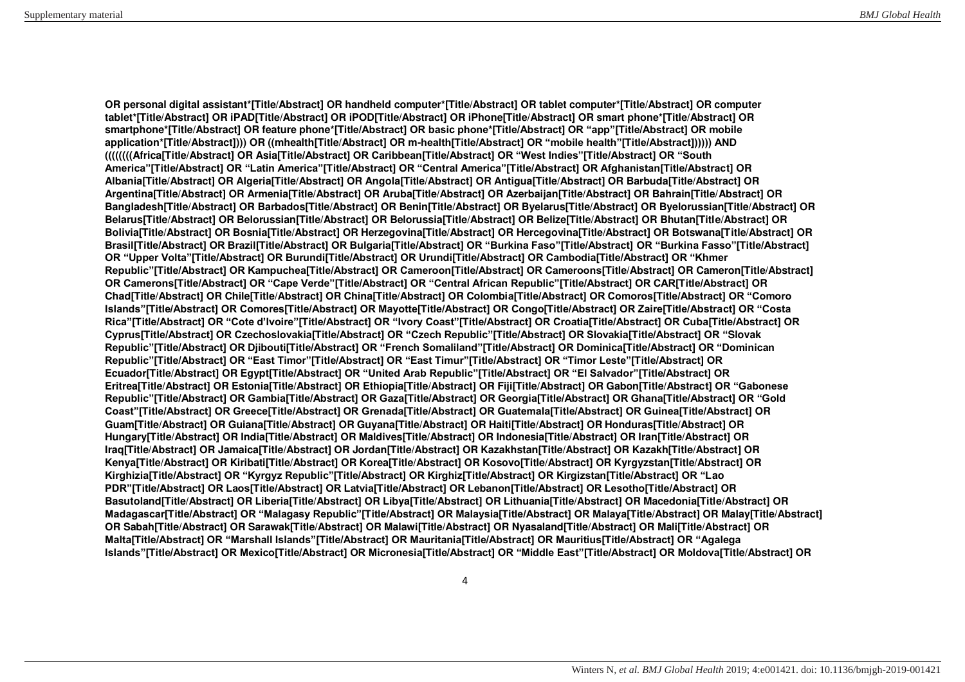**OR personal digital assistant\*[Title/Abstract] OR handheld computer\*[Title/Abstract] OR tablet computer\*[Title/Abstract] OR computer tablet\*[Title/Abstract] OR iPAD[Title/Abstract] OR iPOD[Title/Abstract] OR iPhone[Title/Abstract] OR smart phone\*[Title/Abstract] OR smartphone\*[Title/Abstract] OR feature phone\*[Title/Abstract] OR basic phone\*[Title/Abstract] OR "app"[Title/Abstract] OR mobile application\*[Title/Abstract]))) OR ((mhealth[Title/Abstract] OR m-health[Title/Abstract] OR "mobile health"[Title/Abstract]))))) AND ((((((((Africa[Title/Abstract] OR Asia[Title/Abstract] OR Caribbean[Title/Abstract] OR "West Indies"[Title/Abstract] OR "South America"[Title/Abstract] OR "Latin America"[Title/Abstract] OR "Central America"[Title/Abstract] OR Afghanistan[Title/Abstract] OR Albania[Title/Abstract] OR Algeria[Title/Abstract] OR Angola[Title/Abstract] OR Antigua[Title/Abstract] OR Barbuda[Title/Abstract] OR Argentina[Title/Abstract] OR Armenia[Title/Abstract] OR Aruba[Title/Abstract] OR Azerbaijan[Title/Abstract] OR Bahrain[Title/Abstract] OR Bangladesh[Title/Abstract] OR Barbados[Title/Abstract] OR Benin[Title/Abstract] OR Byelarus[Title/Abstract] OR Byelorussian[Title/Abstract] OR Belarus[Title/Abstract] OR Belorussian[Title/Abstract] OR Belorussia[Title/Abstract] OR Belize[Title/Abstract] OR Bhutan[Title/Abstract] OR Bolivia[Title/Abstract] OR Bosnia[Title/Abstract] OR Herzegovina[Title/Abstract] OR Hercegovina[Title/Abstract] OR Botswana[Title/Abstract] OR Brasil[Title/Abstract] OR Brazil[Title/Abstract] OR Bulgaria[Title/Abstract] OR "Burkina Faso"[Title/Abstract] OR "Burkina Fasso"[Title/Abstract] OR "Upper Volta"[Title/Abstract] OR Burundi[Title/Abstract] OR Urundi[Title/Abstract] OR Cambodia[Title/Abstract] OR "Khmer Republic"[Title/Abstract] OR Kampuchea[Title/Abstract] OR Cameroon[Title/Abstract] OR Cameroons[Title/Abstract] OR Cameron[Title/Abstract] OR Camerons[Title/Abstract] OR "Cape Verde"[Title/Abstract] OR "Central African Republic"[Title/Abstract] OR CAR[Title/Abstract] OR Chad[Title/Abstract] OR Chile[Title/Abstract] OR China[Title/Abstract] OR Colombia[Title/Abstract] OR Comoros[Title/Abstract] OR "Comoro Islands"[Title/Abstract] OR Comores[Title/Abstract] OR Mayotte[Title/Abstract] OR Congo[Title/Abstract] OR Zaire[Title/Abstract] OR "Costa Rica"[Title/Abstract] OR "Cote d'Ivoire"[Title/Abstract] OR "Ivory Coast"[Title/Abstract] OR Croatia[Title/Abstract] OR Cuba[Title/Abstract] OR Cyprus[Title/Abstract] OR Czechoslovakia[Title/Abstract] OR "Czech Republic"[Title/Abstract] OR Slovakia[Title/Abstract] OR "Slovak Republic"[Title/Abstract] OR Djibouti[Title/Abstract] OR "French Somaliland"[Title/Abstract] OR Dominica[Title/Abstract] OR "Dominican Republic"[Title/Abstract] OR "East Timor"[Title/Abstract] OR "East Timur"[Title/Abstract] OR "Timor Leste"[Title/Abstract] OR Ecuador[Title/Abstract] OR Egypt[Title/Abstract] OR "United Arab Republic"[Title/Abstract] OR "El Salvador"[Title/Abstract] OR Eritrea[Title/Abstract] OR Estonia[Title/Abstract] OR Ethiopia[Title/Abstract] OR Fiji[Title/Abstract] OR Gabon[Title/Abstract] OR "Gabonese Republic"[Title/Abstract] OR Gambia[Title/Abstract] OR Gaza[Title/Abstract] OR Georgia[Title/Abstract] OR Ghana[Title/Abstract] OR "Gold Coast"[Title/Abstract] OR Greece[Title/Abstract] OR Grenada[Title/Abstract] OR Guatemala[Title/Abstract] OR Guinea[Title/Abstract] OR Guam[Title/Abstract] OR Guiana[Title/Abstract] OR Guyana[Title/Abstract] OR Haiti[Title/Abstract] OR Honduras[Title/Abstract] OR Hungary[Title/Abstract] OR India[Title/Abstract] OR Maldives[Title/Abstract] OR Indonesia[Title/Abstract] OR Iran[Title/Abstract] OR Iraq[Title/Abstract] OR Jamaica[Title/Abstract] OR Jordan[Title/Abstract] OR Kazakhstan[Title/Abstract] OR Kazakh[Title/Abstract] OR Kenya[Title/Abstract] OR Kiribati[Title/Abstract] OR Korea[Title/Abstract] OR Kosovo[Title/Abstract] OR Kyrgyzstan[Title/Abstract] OR Kirghizia[Title/Abstract] OR "Kyrgyz Republic"[Title/Abstract] OR Kirghiz[Title/Abstract] OR Kirgizstan[Title/Abstract] OR "Lao PDR"[Title/Abstract] OR Laos[Title/Abstract] OR Latvia[Title/Abstract] OR Lebanon[Title/Abstract] OR Lesotho[Title/Abstract] OR Basutoland[Title/Abstract] OR Liberia[Title/Abstract] OR Libya[Title/Abstract] OR Lithuania[Title/Abstract] OR Macedonia[Title/Abstract] OR Madagascar[Title/Abstract] OR "Malagasy Republic"[Title/Abstract] OR Malaysia[Title/Abstract] OR Malaya[Title/Abstract] OR Malay[Title/Abstract] OR Sabah[Title/Abstract] OR Sarawak[Title/Abstract] OR Malawi[Title/Abstract] OR Nyasaland[Title/Abstract] OR Mali[Title/Abstract] OR Malta[Title/Abstract] OR "Marshall Islands"[Title/Abstract] OR Mauritania[Title/Abstract] OR Mauritius[Title/Abstract] OR "Agalega Islands"[Title/Abstract] OR Mexico[Title/Abstract] OR Micronesia[Title/Abstract] OR "Middle East"[Title/Abstract] OR Moldova[Title/Abstract] OR**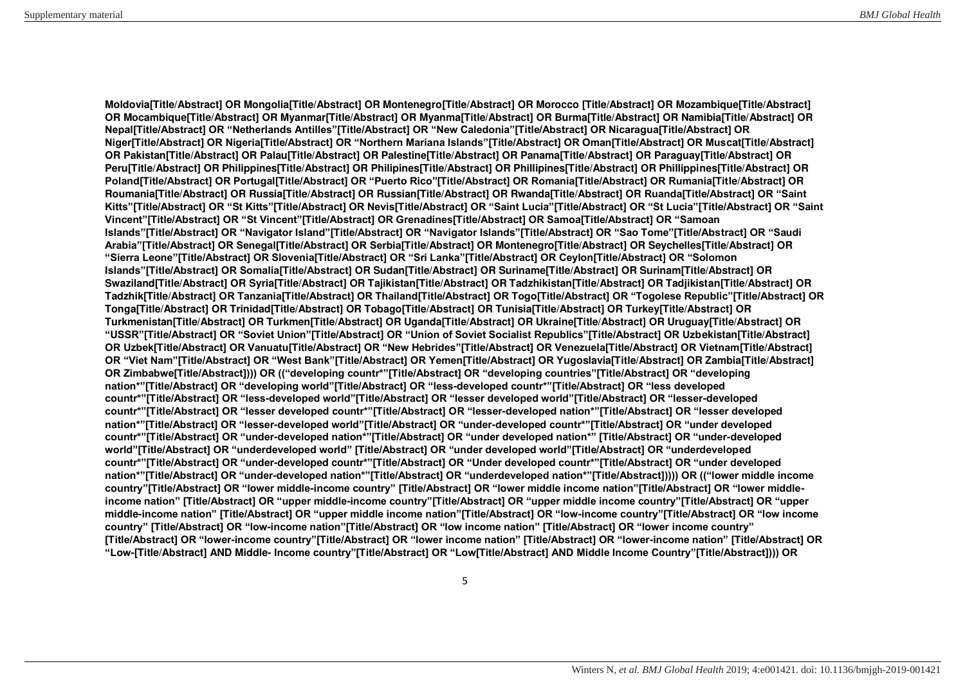**Moldovia[Title/Abstract] OR Mongolia[Title/Abstract] OR Montenegro[Title/Abstract] OR Morocco [Title/Abstract] OR Mozambique[Title/Abstract] OR Mocambique[Title/Abstract] OR Myanmar[Title/Abstract] OR Myanma[Title/Abstract] OR Burma[Title/Abstract] OR Namibia[Title/Abstract] OR Nepal[Title/Abstract] OR "Netherlands Antilles"[Title/Abstract] OR "New Caledonia"[Title/Abstract] OR Nicaragua[Title/Abstract] OR Niger[Title/Abstract] OR Nigeria[Title/Abstract] OR "Northern Mariana Islands"[Title/Abstract] OR Oman[Title/Abstract] OR Muscat[Title/Abstract]**  OR Pakistan[Title/Abstract] OR Palau[Title/Abstract] OR Palestine[Title/Abstract] OR Panama[Title/Abstract] OR Paraguay[Title/Abstract] OR **Peru[Title/Abstract] OR Philippines[Title/Abstract] OR Philipines[Title/Abstract] OR Phillipines[Title/Abstract] OR Phillippines[Title/Abstract] OR Poland[Title/Abstract] OR Portugal[Title/Abstract] OR "Puerto Rico"[Title/Abstract] OR Romania[Title/Abstract] OR Rumania[Title/Abstract] OR Roumania[Title/Abstract] OR Russia[Title/Abstract] OR Russian[Title/Abstract] OR Rwanda[Title/Abstract] OR Ruanda[Title/Abstract] OR "Saint Kitts"[Title/Abstract] OR "St Kitts"[Title/Abstract] OR Nevis[Title/Abstract] OR "Saint Lucia"[Title/Abstract] OR "St Lucia"[Title/Abstract] OR "Saint Vincent"[Title/Abstract] OR "St Vincent"[Title/Abstract] OR Grenadines[Title/Abstract] OR Samoa[Title/Abstract] OR "Samoan Islands"[Title/Abstract] OR "Navigator Island"[Title/Abstract] OR "Navigator Islands"[Title/Abstract] OR "Sao Tome"[Title/Abstract] OR "Saudi Arabia"[Title/Abstract] OR Senegal[Title/Abstract] OR Serbia[Title/Abstract] OR Montenegro[Title/Abstract] OR Seychelles[Title/Abstract] OR "Sierra Leone"[Title/Abstract] OR Slovenia[Title/Abstract] OR "Sri Lanka"[Title/Abstract] OR Ceylon[Title/Abstract] OR "Solomon Islands"[Title/Abstract] OR Somalia[Title/Abstract] OR Sudan[Title/Abstract] OR Suriname[Title/Abstract] OR Surinam[Title/Abstract] OR Swaziland[Title/Abstract] OR Syria[Title/Abstract] OR Tajikistan[Title/Abstract] OR Tadzhikistan[Title/Abstract] OR Tadjikistan[Title/Abstract] OR Tadzhik[Title/Abstract] OR Tanzania[Title/Abstract] OR Thailand[Title/Abstract] OR Togo[Title/Abstract] OR "Togolese Republic"[Title/Abstract] OR Tonga[Title/Abstract] OR Trinidad[Title/Abstract] OR Tobago[Title/Abstract] OR Tunisia[Title/Abstract] OR Turkey[Title/Abstract] OR Turkmenistan[Title/Abstract] OR Turkmen[Title/Abstract] OR Uganda[Title/Abstract] OR Ukraine[Title/Abstract] OR Uruguay[Title/Abstract] OR "USSR"[Title/Abstract] OR "Soviet Union"[Title/Abstract] OR "Union of Soviet Socialist Republics"[Title/Abstract] OR Uzbekistan[Title/Abstract] OR Uzbek[Title/Abstract] OR Vanuatu[Title/Abstract] OR "New Hebrides"[Title/Abstract] OR Venezuela[Title/Abstract] OR Vietnam[Title/Abstract] OR "Viet Nam"[Title/Abstract] OR "West Bank"[Title/Abstract] OR Yemen[Title/Abstract] OR Yugoslavia[Title/Abstract] OR Zambia[Title/Abstract] OR Zimbabwe[Title/Abstract]))) OR (("developing countr\*"[Title/Abstract] OR "developing countries"[Title/Abstract] OR "developing nation\*"[Title/Abstract] OR "developing world"[Title/Abstract] OR "less-developed countr\*"[Title/Abstract] OR "less developed countr\*"[Title/Abstract] OR "less-developed world"[Title/Abstract] OR "lesser developed world"[Title/Abstract] OR "lesser-developed countr\*"[Title/Abstract] OR "lesser developed countr\*"[Title/Abstract] OR "lesser-developed nation\*"[Title/Abstract] OR "lesser developed nation\*"[Title/Abstract] OR "lesser-developed world"[Title/Abstract] OR "under-developed countr\*"[Title/Abstract] OR "under developed countr\*"[Title/Abstract] OR "under-developed nation\*"[Title/Abstract] OR "under developed nation\*" [Title/Abstract] OR "under-developed world"[Title/Abstract] OR "underdeveloped world" [Title/Abstract] OR "under developed world"[Title/Abstract] OR "underdeveloped countr\*"[Title/Abstract] OR "under-developed countr\*"[Title/Abstract] OR "Under developed countr\*"[Title/Abstract] OR "under developed nation\*"[Title/Abstract] OR "under-developed nation\*"[Title/Abstract] OR "underdeveloped nation\*"[Title/Abstract])))) OR (("lower middle income country"[Title/Abstract] OR "lower middle-income country" [Title/Abstract] OR "lower middle income nation"[Title/Abstract] OR "lower middleincome nation" [Title/Abstract] OR "upper middle-income country"[Title/Abstract] OR "upper middle income country"[Title/Abstract] OR "upper middle-income nation" [Title/Abstract] OR "upper middle income nation"[Title/Abstract] OR "low-income country"[Title/Abstract] OR "low income country" [Title/Abstract] OR "low-income nation"[Title/Abstract] OR "low income nation" [Title/Abstract] OR "lower income country" [Title/Abstract] OR "lower-income country"[Title/Abstract] OR "lower income nation" [Title/Abstract] OR "lower-income nation" [Title/Abstract] OR "Low-[Title/Abstract] AND Middle- Income country"[Title/Abstract] OR "Low[Title/Abstract] AND Middle Income Country"[Title/Abstract]))) OR**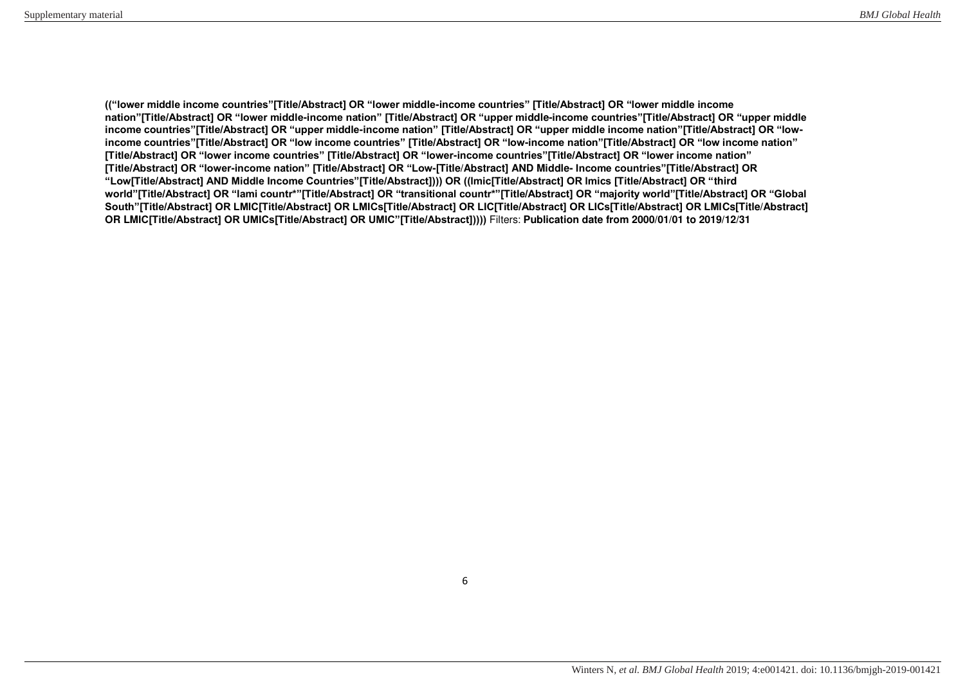**(("lower middle income countries"[Title/Abstract] OR "lower middle-income countries" [Title/Abstract] OR "lower middle income nation"[Title/Abstract] OR "lower middle-income nation" [Title/Abstract] OR "upper middle-income countries"[Title/Abstract] OR "upper middle income countries"[Title/Abstract] OR "upper middle-income nation" [Title/Abstract] OR "upper middle income nation"[Title/Abstract] OR "lowincome countries"[Title/Abstract] OR "low income countries" [Title/Abstract] OR "low-income nation"[Title/Abstract] OR "low income nation" [Title/Abstract] OR "lower income countries" [Title/Abstract] OR "lower-income countries"[Title/Abstract] OR "lower income nation" [Title/Abstract] OR "lower-income nation" [Title/Abstract] OR "Low-[Title/Abstract] AND Middle- Income countries"[Title/Abstract] OR "Low[Title/Abstract] AND Middle Income Countries"[Title/Abstract]))) OR ((lmic[Title/Abstract] OR lmics [Title/Abstract] OR "third**  world"[Title/Abstract] OR "lami countr\*"[Title/Abstract] OR "transitional countr\*"[Title/Abstract] OR "majority world"[Title/Abstract] OR "Global **South"[Title/Abstract] OR LMIC[Title/Abstract] OR LMICs[Title/Abstract] OR LIC[Title/Abstract] OR LICs[Title/Abstract] OR LMICs[Title/Abstract] OR LMIC[Title/Abstract] OR UMICs[Title/Abstract] OR UMIC"[Title/Abstract]))))** Filters: **Publication date from 2000/01/01 to 2019/12/31**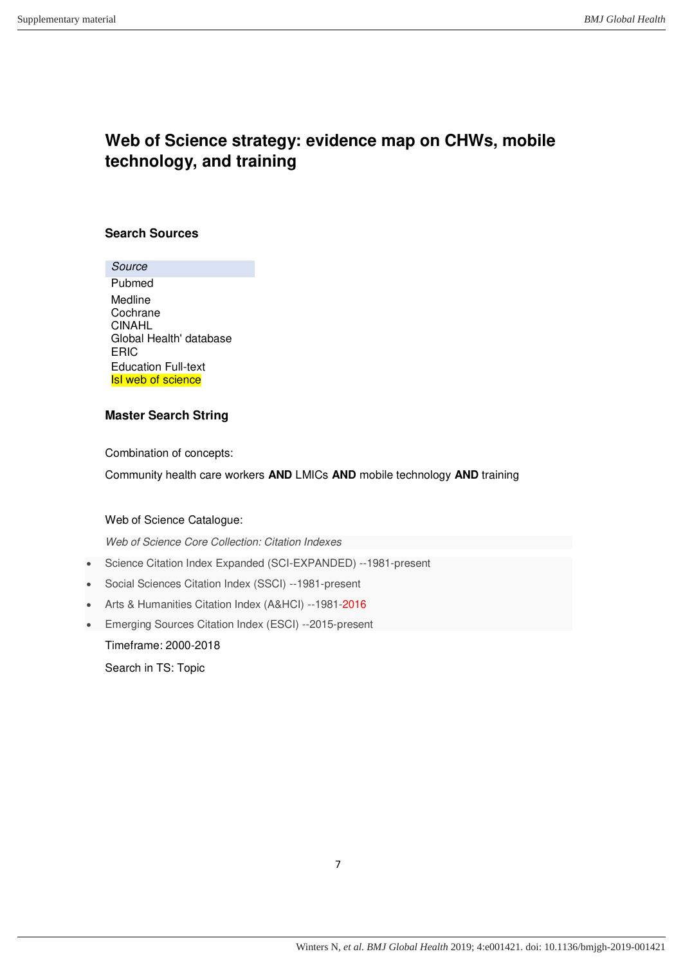## **Web of Science strategy: evidence map on CHWs, mobile technology, and training**

#### **Search Sources**

Source Pubmed Medline **Cochrane** CINAHL Global Health' database ERIC Education Full-text **IsI web of science** 

#### **Master Search String**

Combination of concepts:

Community health care workers **AND** LMICs **AND** mobile technology **AND** training

#### Web of Science Catalogue:

Web of Science Core Collection: Citation Indexes

- Science Citation Index Expanded (SCI-EXPANDED) --1981-present
- Social Sciences Citation Index (SSCI) --1981-present
- Arts & Humanities Citation Index (A&HCI) --1981-2016
- Emerging Sources Citation Index (ESCI) --2015-present

Timeframe: 2000-2018

Search in TS: Topic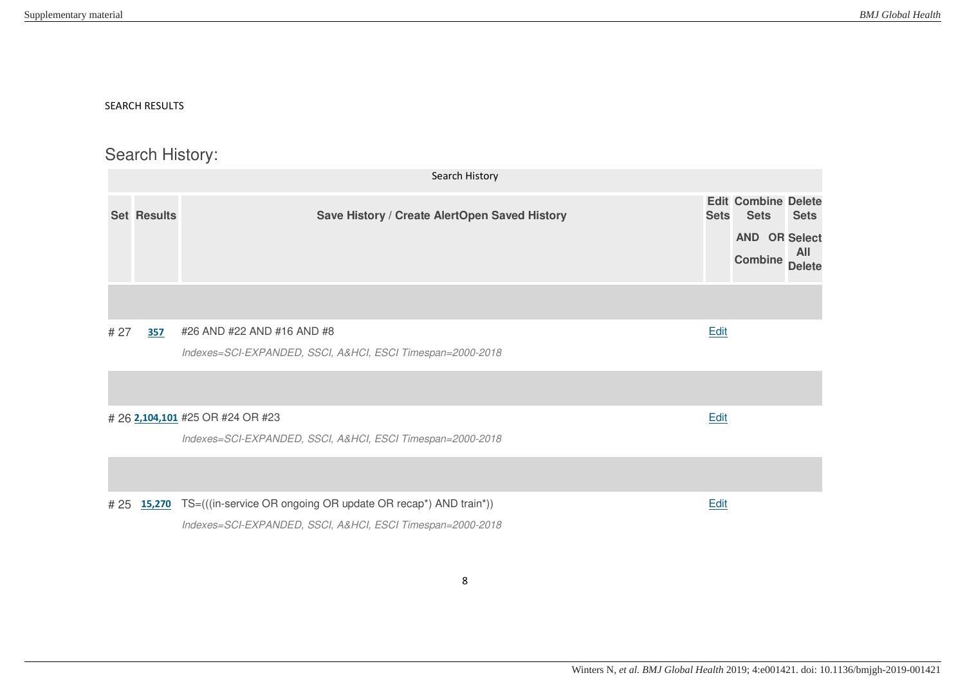# Search History:

|      | Search History     |                                                                                                     |             |                                           |                      |
|------|--------------------|-----------------------------------------------------------------------------------------------------|-------------|-------------------------------------------|----------------------|
|      | <b>Set Results</b> | Save History / Create AlertOpen Saved History                                                       | <b>Sets</b> | <b>Edit Combine Delete</b><br><b>Sets</b> | <b>Sets</b>          |
|      |                    |                                                                                                     |             | <b>AND OR Select</b><br><b>Combine</b>    | All<br><b>Delete</b> |
|      |                    |                                                                                                     |             |                                           |                      |
| # 27 | 357                | #26 AND #22 AND #16 AND #8                                                                          | <b>Edit</b> |                                           |                      |
|      |                    | Indexes=SCI-EXPANDED, SSCI, A&HCI, ESCI Timespan=2000-2018                                          |             |                                           |                      |
|      |                    |                                                                                                     |             |                                           |                      |
|      |                    | # 26 2,104,101 #25 OR #24 OR #23                                                                    | Edit        |                                           |                      |
|      |                    | Indexes=SCI-EXPANDED, SSCI, A&HCI, ESCI Timespan=2000-2018                                          |             |                                           |                      |
|      |                    |                                                                                                     |             |                                           |                      |
|      |                    | # 25 15,270 TS=(((in-service OR ongoing OR update OR recap <sup>*</sup> ) AND train <sup>*</sup> )) | <b>Edit</b> |                                           |                      |
|      |                    | Indexes=SCI-EXPANDED, SSCI, A&HCI, ESCI Timespan=2000-2018                                          |             |                                           |                      |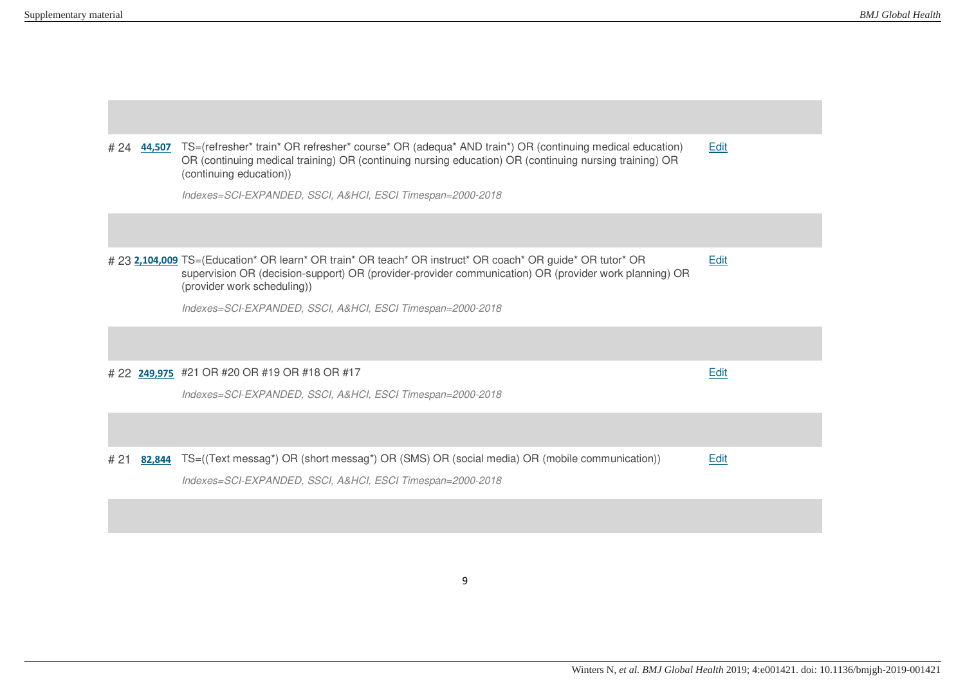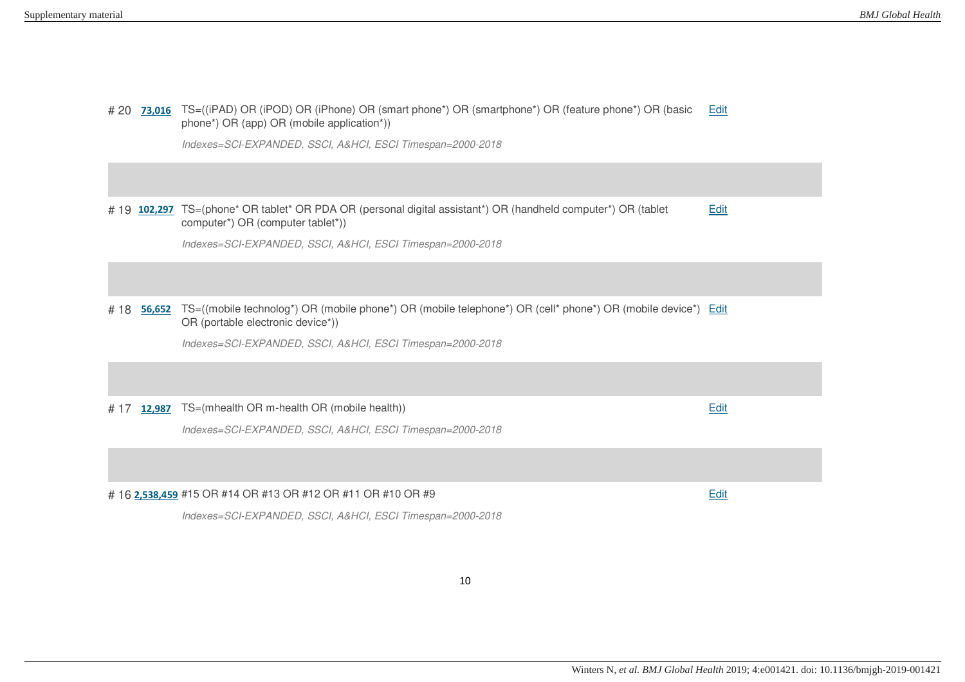|      | # 20 73,016 TS=((iPAD) OR (iPOD) OR (iPhone) OR (smart phone*) OR (smartphone*) OR (feature phone*) OR (basic<br>phone*) OR (app) OR (mobile application*)) | Edit |
|------|-------------------------------------------------------------------------------------------------------------------------------------------------------------|------|
|      | Indexes=SCI-EXPANDED, SSCI, A&HCI, ESCI Timespan=2000-2018                                                                                                  |      |
|      |                                                                                                                                                             |      |
|      | # 19 102,297 TS=(phone* OR tablet* OR PDA OR (personal digital assistant*) OR (handheld computer*) OR (tablet<br>computer*) OR (computer tablet*))          | Edit |
|      | Indexes=SCI-EXPANDED, SSCI, A&HCI, ESCI Timespan=2000-2018                                                                                                  |      |
|      |                                                                                                                                                             |      |
| # 18 | 56,652 TS=((mobile technolog*) OR (mobile phone*) OR (mobile telephone*) OR (cell* phone*) OR (mobile device*) Edit<br>OR (portable electronic device*))    |      |
|      | Indexes=SCI-EXPANDED, SSCI, A&HCI, ESCI Timespan=2000-2018                                                                                                  |      |
|      |                                                                                                                                                             |      |
| # 17 | 12,987 TS=(mhealth OR m-health OR (mobile health))                                                                                                          | Edit |
|      | Indexes=SCI-EXPANDED, SSCI, A&HCI, ESCI Timespan=2000-2018                                                                                                  |      |
|      |                                                                                                                                                             |      |
|      | # 16 2,538,459 #15 OR #14 OR #13 OR #12 OR #11 OR #10 OR #9                                                                                                 | Edit |
|      | Indexes=SCI-EXPANDED, SSCI, A&HCI, ESCI Timespan=2000-2018                                                                                                  |      |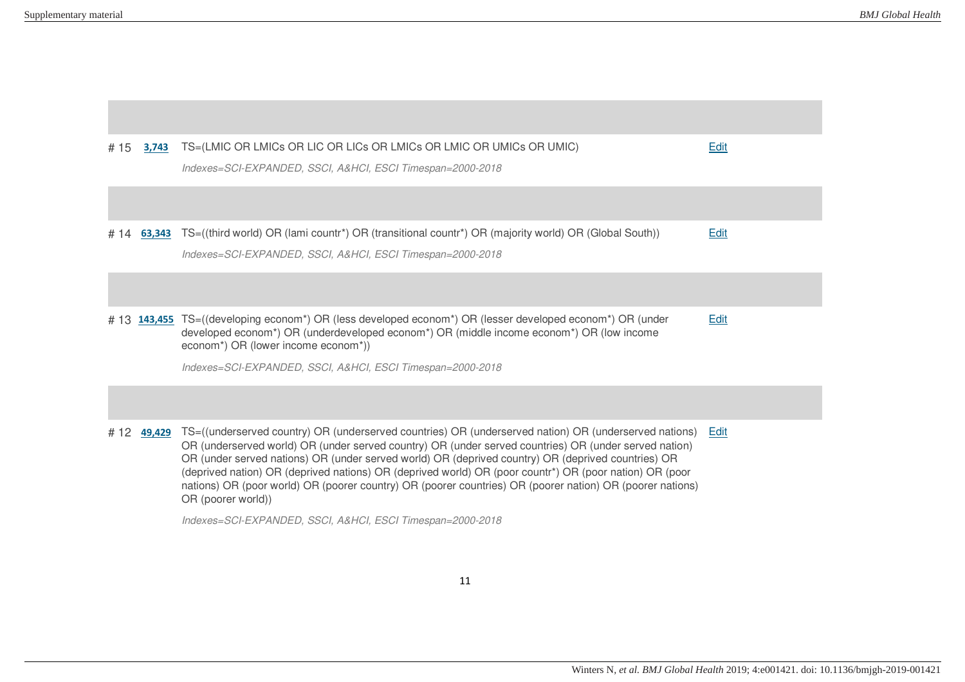| # 15 | 3,743      | TS=(LMIC OR LMICs OR LIC OR LICs OR LMICs OR LMIC OR UMICs OR UMIC)<br>Indexes=SCI-EXPANDED, SSCI, A&HCI, ESCI Timespan=2000-2018                                                                                                                                                                                                                                                                                                                                                                                                                                                                                                | Edit |
|------|------------|----------------------------------------------------------------------------------------------------------------------------------------------------------------------------------------------------------------------------------------------------------------------------------------------------------------------------------------------------------------------------------------------------------------------------------------------------------------------------------------------------------------------------------------------------------------------------------------------------------------------------------|------|
|      |            |                                                                                                                                                                                                                                                                                                                                                                                                                                                                                                                                                                                                                                  |      |
|      |            | # 14 63,343 TS=((third world) OR (lami countr <sup>*</sup> ) OR (transitional countr <sup>*</sup> ) OR (majority world) OR (Global South))<br>Indexes=SCI-EXPANDED, SSCI, A&HCI, ESCI Timespan=2000-2018                                                                                                                                                                                                                                                                                                                                                                                                                         | Edit |
|      |            |                                                                                                                                                                                                                                                                                                                                                                                                                                                                                                                                                                                                                                  |      |
|      |            | # 13 143,455 TS=((developing econom <sup>*</sup> ) OR (less developed econom <sup>*</sup> ) OR (lesser developed econom <sup>*</sup> ) OR (under<br>developed econom*) OR (underdeveloped econom*) OR (middle income econom*) OR (low income<br>econom*) OR (lower income econom*))                                                                                                                                                                                                                                                                                                                                              | Edit |
|      |            | Indexes=SCI-EXPANDED, SSCI, A&HCI, ESCI Timespan=2000-2018                                                                                                                                                                                                                                                                                                                                                                                                                                                                                                                                                                       |      |
|      |            |                                                                                                                                                                                                                                                                                                                                                                                                                                                                                                                                                                                                                                  |      |
|      | #12 49,429 | TS=((underserved country) OR (underserved countries) OR (underserved nation) OR (underserved nations)<br>OR (underserved world) OR (under served country) OR (under served countries) OR (under served nation)<br>OR (under served nations) OR (under served world) OR (deprived country) OR (deprived countries) OR<br>(deprived nation) OR (deprived nations) OR (deprived world) OR (poor countr*) OR (poor nation) OR (poor<br>nations) OR (poor world) OR (poorer country) OR (poorer countries) OR (poorer nation) OR (poorer nations)<br>OR (poorer world))<br>Indexes=SCI-EXPANDED, SSCI, A&HCI, ESCI Timespan=2000-2018 | Edit |
|      |            |                                                                                                                                                                                                                                                                                                                                                                                                                                                                                                                                                                                                                                  |      |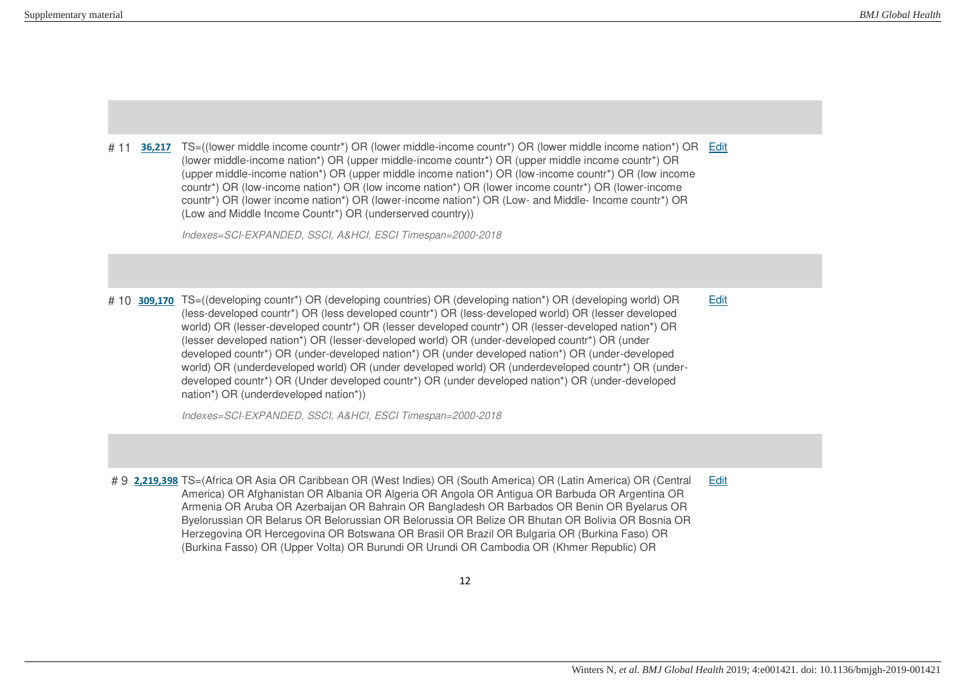# 11 **[36,217](https://0-apps-webofknowledge-com.ujlink.uj.ac.za/summary.do?product=WOS&doc=1&qid=38&SID=C3tKTWQhGRw2vnjBNFT&search_mode=AdvancedSearch&update_back2search_link_param=yes)** TS=((lower middle income countr\*) OR (lower middle-income countr\*) OR (lower middle income nation\*) OR [Edit](https://0-apps-webofknowledge-com.ujlink.uj.ac.za/WOS_AdvancedSearch_input.do?product=WOS&SID=C3tKTWQhGRw2vnjBNFT&search_mode=AdvancedSearch&replaceSetId=11&editState=init) (lower middle-income nation\*) OR (upper middle-income countr\*) OR (upper middle income countr\*) OR (upper middle-income nation\*) OR (upper middle income nation\*) OR (low-income countr\*) OR (low income countr\*) OR (low-income nation\*) OR (low income nation\*) OR (lower income countr\*) OR (lower-income countr\*) OR (lower income nation\*) OR (lower-income nation\*) OR (Low- and Middle- Income countr\*) OR (Low and Middle Income Countr\*) OR (underserved country))

Indexes=SCI-EXPANDED, SSCI, A&HCI, ESCI Timespan=2000-2018

# 10 **[309,170](https://0-apps-webofknowledge-com.ujlink.uj.ac.za/summary.do?product=WOS&doc=1&qid=34&SID=C3tKTWQhGRw2vnjBNFT&search_mode=AdvancedSearch&update_back2search_link_param=yes)** TS=((developing countr\*) OR (developing countries) OR (developing nation\*) OR (developing world) OR (less-developed countr\*) OR (less developed countr\*) OR (less-developed world) OR (lesser developed world) OR (lesser-developed countr\*) OR (lesser developed countr\*) OR (lesser-developed nation\*) OR (lesser developed nation\*) OR (lesser-developed world) OR (under-developed countr\*) OR (under developed countr\*) OR (under-developed nation\*) OR (under developed nation\*) OR (under-developed world) OR (underdeveloped world) OR (under developed world) OR (underdeveloped countr\*) OR (underdeveloped countr\*) OR (Under developed countr\*) OR (under developed nation\*) OR (under-developed nation\*) OR (underdeveloped nation\*)) [Edit](https://0-apps-webofknowledge-com.ujlink.uj.ac.za/WOS_AdvancedSearch_input.do?product=WOS&SID=C3tKTWQhGRw2vnjBNFT&search_mode=AdvancedSearch&replaceSetId=10&editState=init)

Indexes=SCI-EXPANDED, SSCI, A&HCI, ESCI Timespan=2000-2018

# 9 **[2,219,398](https://0-apps-webofknowledge-com.ujlink.uj.ac.za/summary.do?product=WOS&doc=1&qid=29&SID=C3tKTWQhGRw2vnjBNFT&search_mode=AdvancedSearch&update_back2search_link_param=yes)** TS=(Africa OR Asia OR Caribbean OR (West Indies) OR (South America) OR (Latin America) OR (Central America) OR Afghanistan OR Albania OR Algeria OR Angola OR Antigua OR Barbuda OR Argentina OR Armenia OR Aruba OR Azerbaijan OR Bahrain OR Bangladesh OR Barbados OR Benin OR Byelarus OR Byelorussian OR Belarus OR Belorussian OR Belorussia OR Belize OR Bhutan OR Bolivia OR Bosnia OR Herzegovina OR Hercegovina OR Botswana OR Brasil OR Brazil OR Bulgaria OR (Burkina Faso) OR (Burkina Fasso) OR (Upper Volta) OR Burundi OR Urundi OR Cambodia OR (Khmer Republic) OR [Edit](https://0-apps-webofknowledge-com.ujlink.uj.ac.za/WOS_AdvancedSearch_input.do?product=WOS&SID=C3tKTWQhGRw2vnjBNFT&search_mode=AdvancedSearch&replaceSetId=9&editState=init)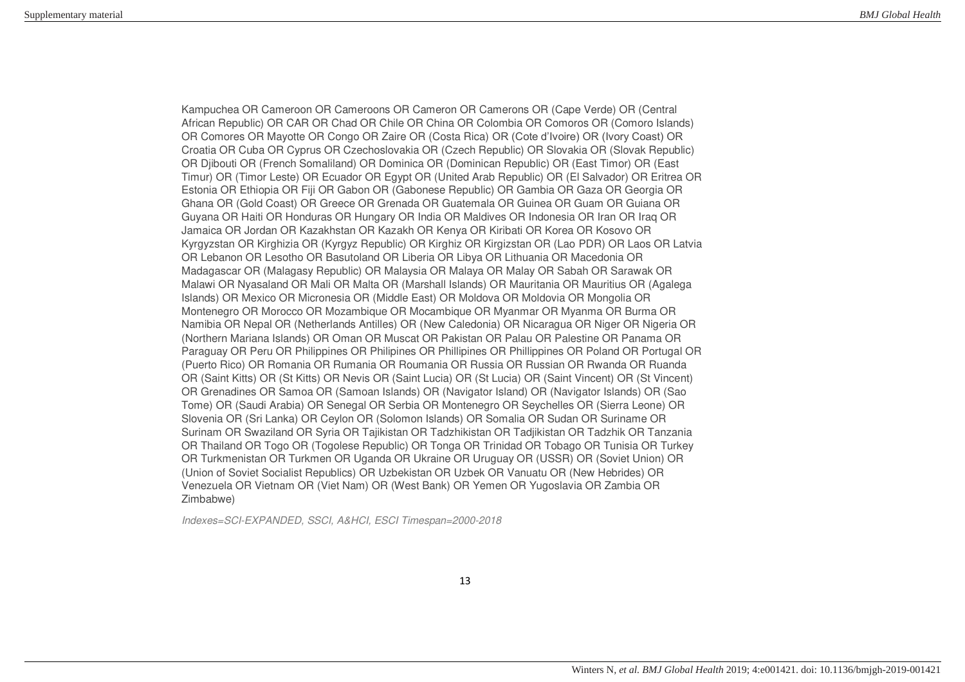Kampuchea OR Cameroon OR Cameroons OR Cameron OR Camerons OR (Cape Verde) OR (Central African Republic) OR CAR OR Chad OR Chile OR China OR Colombia OR Comoros OR (Comoro Islands) OR Comores OR Mayotte OR Congo OR Zaire OR (Costa Rica) OR (Cote d'Ivoire) OR (Ivory Coast) OR Croatia OR Cuba OR Cyprus OR Czechoslovakia OR (Czech Republic) OR Slovakia OR (Slovak Republic) OR Djibouti OR (French Somaliland) OR Dominica OR (Dominican Republic) OR (East Timor) OR (East Timur) OR (Timor Leste) OR Ecuador OR Egypt OR (United Arab Republic) OR (El Salvador) OR Eritrea OR Estonia OR Ethiopia OR Fiji OR Gabon OR (Gabonese Republic) OR Gambia OR Gaza OR Georgia OR Ghana OR (Gold Coast) OR Greece OR Grenada OR Guatemala OR Guinea OR Guam OR Guiana OR Guyana OR Haiti OR Honduras OR Hungary OR India OR Maldives OR Indonesia OR Iran OR Iraq OR Jamaica OR Jordan OR Kazakhstan OR Kazakh OR Kenya OR Kiribati OR Korea OR Kosovo OR Kyrgyzstan OR Kirghizia OR (Kyrgyz Republic) OR Kirghiz OR Kirgizstan OR (Lao PDR) OR Laos OR Latvia OR Lebanon OR Lesotho OR Basutoland OR Liberia OR Libya OR Lithuania OR Macedonia OR Madagascar OR (Malagasy Republic) OR Malaysia OR Malaya OR Malay OR Sabah OR Sarawak OR Malawi OR Nyasaland OR Mali OR Malta OR (Marshall Islands) OR Mauritania OR Mauritius OR (Agalega Islands) OR Mexico OR Micronesia OR (Middle East) OR Moldova OR Moldovia OR Mongolia OR Montenegro OR Morocco OR Mozambique OR Mocambique OR Myanmar OR Myanma OR Burma OR Namibia OR Nepal OR (Netherlands Antilles) OR (New Caledonia) OR Nicaragua OR Niger OR Nigeria OR (Northern Mariana Islands) OR Oman OR Muscat OR Pakistan OR Palau OR Palestine OR Panama OR Paraguay OR Peru OR Philippines OR Philipines OR Phillipines OR Phillippines OR Poland OR Portugal OR (Puerto Rico) OR Romania OR Rumania OR Roumania OR Russia OR Russian OR Rwanda OR Ruanda OR (Saint Kitts) OR (St Kitts) OR Nevis OR (Saint Lucia) OR (St Lucia) OR (Saint Vincent) OR (St Vincent) OR Grenadines OR Samoa OR (Samoan Islands) OR (Navigator Island) OR (Navigator Islands) OR (Sao Tome) OR (Saudi Arabia) OR Senegal OR Serbia OR Montenegro OR Seychelles OR (Sierra Leone) OR Slovenia OR (Sri Lanka) OR Ceylon OR (Solomon Islands) OR Somalia OR Sudan OR Suriname OR Surinam OR Swaziland OR Syria OR Tajikistan OR Tadzhikistan OR Tadjikistan OR Tadzhik OR Tanzania OR Thailand OR Togo OR (Togolese Republic) OR Tonga OR Trinidad OR Tobago OR Tunisia OR Turkey OR Turkmenistan OR Turkmen OR Uganda OR Ukraine OR Uruguay OR (USSR) OR (Soviet Union) OR (Union of Soviet Socialist Republics) OR Uzbekistan OR Uzbek OR Vanuatu OR (New Hebrides) OR Venezuela OR Vietnam OR (Viet Nam) OR (West Bank) OR Yemen OR Yugoslavia OR Zambia OR Zimbabwe)

Indexes=SCI-EXPANDED, SSCI, A&HCI, ESCI Timespan=2000-2018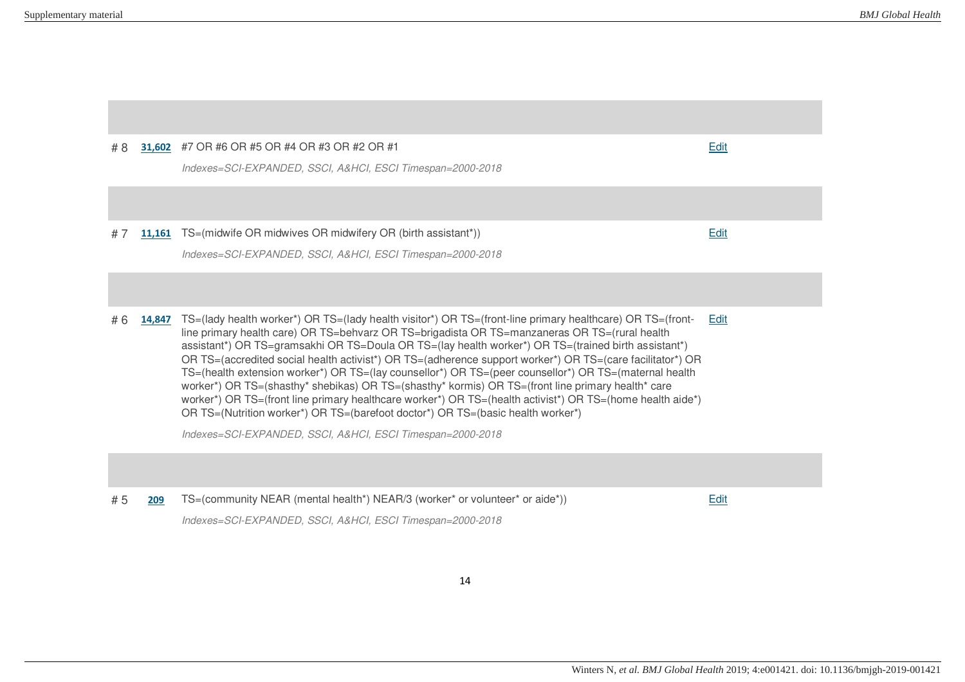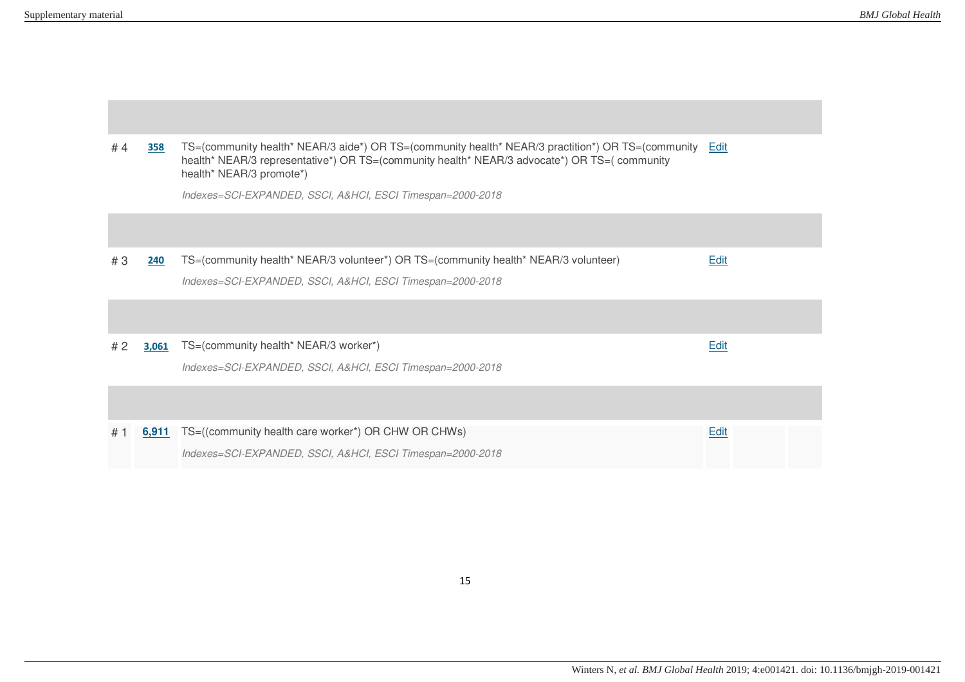| 358          | health* NEAR/3 representative*) OR TS=(community health* NEAR/3 advocate*) OR TS=( community<br>health* NEAR/3 promote*) | Edit |                                                                                                   |
|--------------|--------------------------------------------------------------------------------------------------------------------------|------|---------------------------------------------------------------------------------------------------|
|              | Indexes=SCI-EXPANDED, SSCI, A&HCI, ESCI Timespan=2000-2018                                                               |      |                                                                                                   |
|              |                                                                                                                          |      |                                                                                                   |
| 240          | TS=(community health* NEAR/3 volunteer*) OR TS=(community health* NEAR/3 volunteer)                                      | Edit |                                                                                                   |
|              | Indexes=SCI-EXPANDED, SSCI, A&HCI, ESCI Timespan=2000-2018                                                               |      |                                                                                                   |
|              |                                                                                                                          |      |                                                                                                   |
| 3,061        | TS=(community health* NEAR/3 worker*)                                                                                    | Edit |                                                                                                   |
|              | Indexes=SCI-EXPANDED, SSCI, A&HCI, ESCI Timespan=2000-2018                                                               |      |                                                                                                   |
|              |                                                                                                                          |      |                                                                                                   |
| <u>6,911</u> | TS=((community health care worker*) OR CHW OR CHWs)                                                                      | Edit |                                                                                                   |
|              | Indexes=SCI-EXPANDED, SSCI, A&HCI, ESCI Timespan=2000-2018                                                               |      |                                                                                                   |
|              |                                                                                                                          |      | TS=(community health* NEAR/3 aide*) OR TS=(community health* NEAR/3 practition*) OR TS=(community |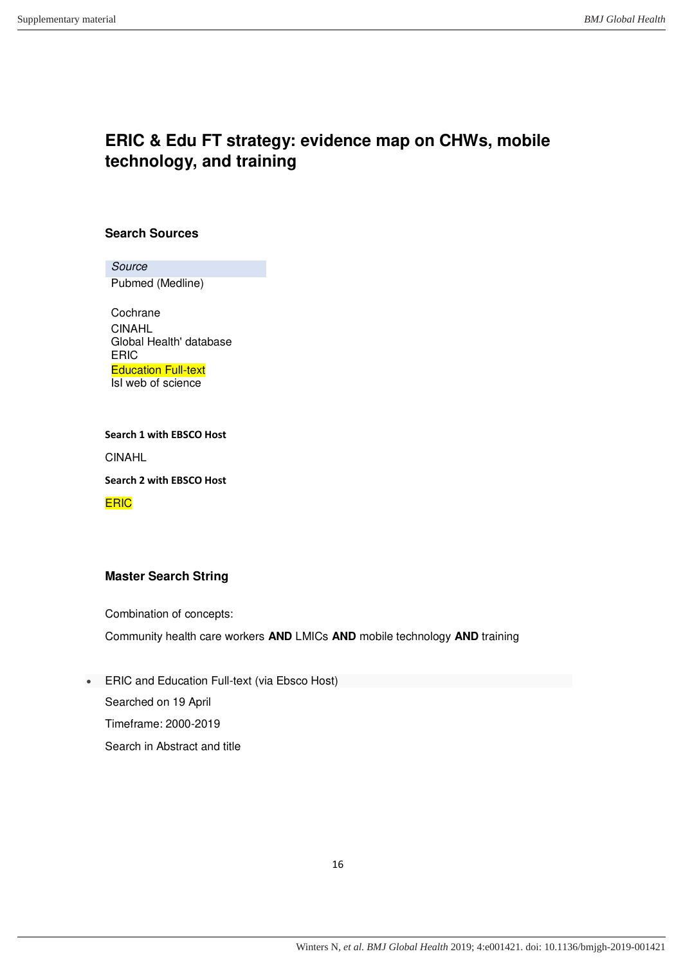## **ERIC & Edu FT strategy: evidence map on CHWs, mobile technology, and training**

#### **Search Sources**

Source Pubmed (Medline)

**Cochrane** CINAHL Global Health' database ERIC **Education Full-text** IsI web of science

**Search 1 with EBSCO Host**  CINAHL

**Search 2 with EBSCO Host** 

**ERIC** 

## **Master Search String**

Combination of concepts:

Community health care workers **AND** LMICs **AND** mobile technology **AND** training

 ERIC and Education Full-text (via Ebsco Host) Searched on 19 April Timeframe: 2000-2019 Search in Abstract and title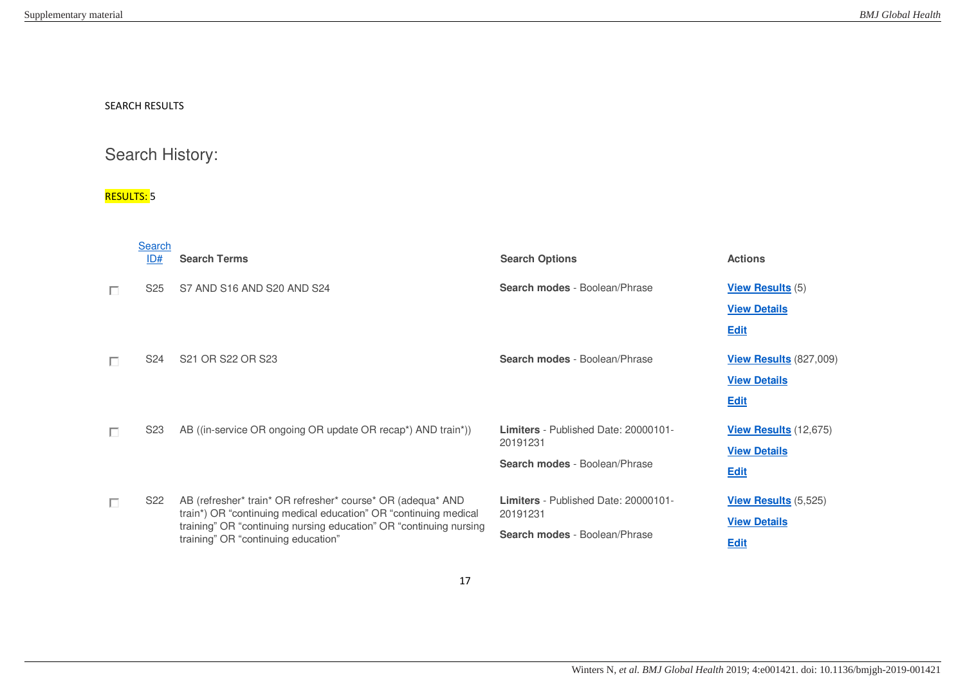Search History:

RESULTS: 5

|   | Search<br>ID#   | <b>Search Terms</b>                                                                                                                                                                                                                          | <b>Search Options</b>                                                                    | <b>Actions</b>                                               |
|---|-----------------|----------------------------------------------------------------------------------------------------------------------------------------------------------------------------------------------------------------------------------------------|------------------------------------------------------------------------------------------|--------------------------------------------------------------|
| П | S <sub>25</sub> | S7 AND S16 AND S20 AND S24                                                                                                                                                                                                                   | Search modes - Boolean/Phrase                                                            | View Results (5)<br><b>View Details</b><br><u>Edit</u>       |
| П | S <sub>24</sub> | S <sub>21</sub> OR S <sub>22</sub> OR S <sub>23</sub>                                                                                                                                                                                        | Search modes - Boolean/Phrase                                                            | View Results (827,009)<br><b>View Details</b><br><b>Edit</b> |
| П | S <sub>23</sub> | AB ((in-service OR ongoing OR update OR recap <sup>*</sup> ) AND train <sup>*</sup> ))                                                                                                                                                       | <b>Limiters</b> - Published Date: 20000101-<br>20191231<br>Search modes - Boolean/Phrase | View Results (12,675)<br><b>View Details</b><br><u>Edit</u>  |
| П | S22             | AB (refresher* train* OR refresher* course* OR (adequa* AND<br>train*) OR "continuing medical education" OR "continuing medical<br>training" OR "continuing nursing education" OR "continuing nursing<br>training" OR "continuing education" | Limiters - Published Date: 20000101-<br>20191231<br>Search modes - Boolean/Phrase        | View Results (5,525)<br><b>View Details</b><br><b>Edit</b>   |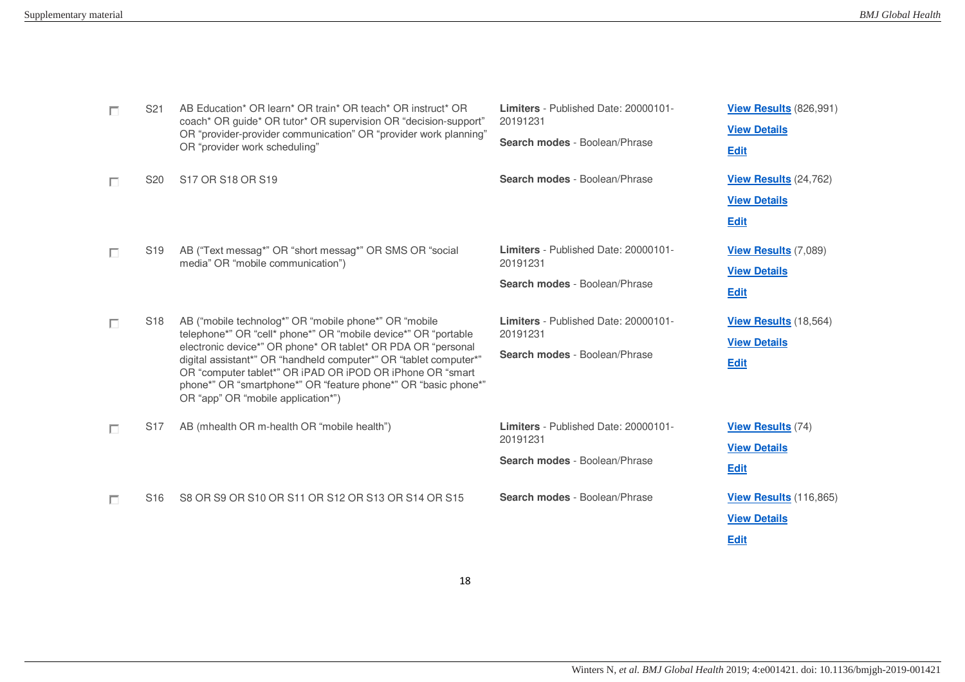| п | S <sub>21</sub> | AB Education* OR learn* OR train* OR teach* OR instruct* OR<br>coach* OR guide* OR tutor* OR supervision OR "decision-support"<br>OR "provider-provider communication" OR "provider work planning"<br>OR "provider work scheduling"                                                                                                                                                                                               | Limiters - Published Date: 20000101-<br>20191231<br>Search modes - Boolean/Phrase | <b>View Results (826,991)</b><br><b>View Details</b><br><b>Edit</b> |
|---|-----------------|-----------------------------------------------------------------------------------------------------------------------------------------------------------------------------------------------------------------------------------------------------------------------------------------------------------------------------------------------------------------------------------------------------------------------------------|-----------------------------------------------------------------------------------|---------------------------------------------------------------------|
|   | S <sub>20</sub> | S17 OR S18 OR S19                                                                                                                                                                                                                                                                                                                                                                                                                 | Search modes - Boolean/Phrase                                                     | View Results (24,762)<br><b>View Details</b><br><b>Edit</b>         |
| п | S <sub>19</sub> | AB ("Text messag*" OR "short messag*" OR SMS OR "social<br>media" OR "mobile communication")                                                                                                                                                                                                                                                                                                                                      | Limiters - Published Date: 20000101-<br>20191231<br>Search modes - Boolean/Phrase | View Results (7,089)<br><b>View Details</b><br><b>Edit</b>          |
| п | S <sub>18</sub> | AB ("mobile technolog*" OR "mobile phone*" OR "mobile<br>telephone*" OR "cell* phone*" OR "mobile device*" OR "portable<br>electronic device*" OR phone* OR tablet* OR PDA OR "personal<br>digital assistant*" OR "handheld computer*" OR "tablet computer*"<br>OR "computer tablet*" OR iPAD OR iPOD OR iPhone OR "smart<br>phone*" OR "smartphone*" OR "feature phone*" OR "basic phone*"<br>OR "app" OR "mobile application*") | Limiters - Published Date: 20000101-<br>20191231<br>Search modes - Boolean/Phrase | View Results (18,564)<br><b>View Details</b><br><b>Edit</b>         |
| п | S <sub>17</sub> | AB (mhealth OR m-health OR "mobile health")                                                                                                                                                                                                                                                                                                                                                                                       | Limiters - Published Date: 20000101-<br>20191231<br>Search modes - Boolean/Phrase | <b>View Results (74)</b><br><b>View Details</b><br><b>Edit</b>      |
|   | S <sub>16</sub> | S8 OR S9 OR S10 OR S11 OR S12 OR S13 OR S14 OR S15                                                                                                                                                                                                                                                                                                                                                                                | Search modes - Boolean/Phrase                                                     | View Results (116,865)<br><b>View Details</b><br><b>Edit</b>        |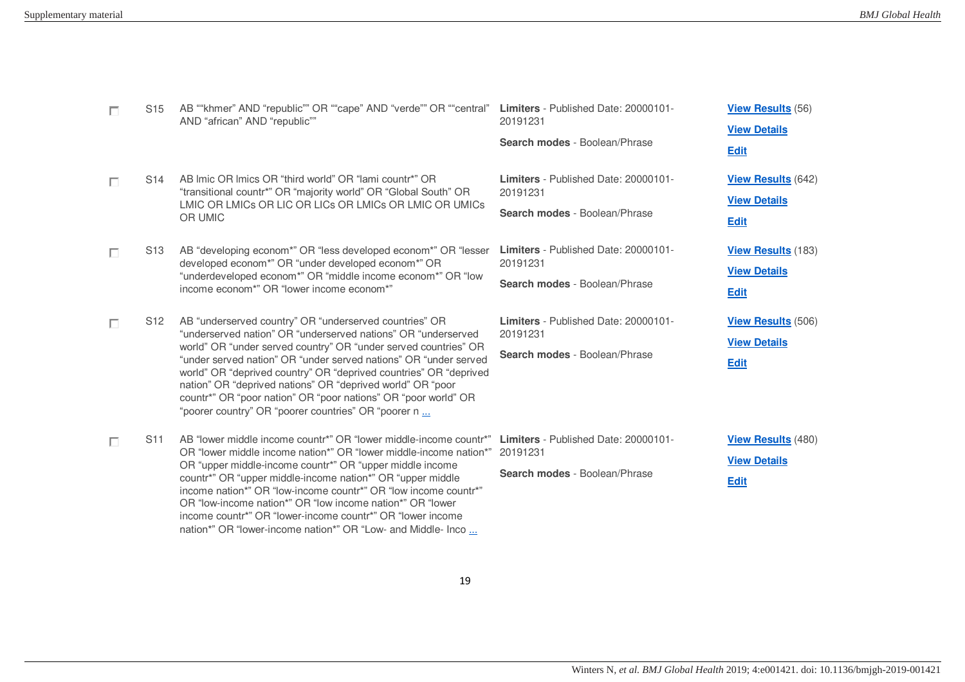| П | S <sub>15</sub> | AB ""khmer" AND "republic"" OR ""cape" AND "verde"" OR ""central" Limiters - Published Date: 20000101-<br>AND "african" AND "republic""                                                                                                                                                                                                                                                                                                                                                                                         | 20191231<br>Search modes - Boolean/Phrase                                                | View Results (56)<br><b>View Details</b><br><b>Edit</b>         |
|---|-----------------|---------------------------------------------------------------------------------------------------------------------------------------------------------------------------------------------------------------------------------------------------------------------------------------------------------------------------------------------------------------------------------------------------------------------------------------------------------------------------------------------------------------------------------|------------------------------------------------------------------------------------------|-----------------------------------------------------------------|
|   | S <sub>14</sub> | AB Imic OR Imics OR "third world" OR "lami countr*" OR<br>"transitional countr*" OR "majority world" OR "Global South" OR<br>LMIC OR LMICs OR LIC OR LICs OR LMICs OR LMIC OR UMICS<br>OR UMIC                                                                                                                                                                                                                                                                                                                                  | Limiters - Published Date: 20000101-<br>20191231<br>Search modes - Boolean/Phrase        | View Results (642)<br><b>View Details</b><br><b>Edit</b>        |
|   | S <sub>13</sub> | AB "developing econom*" OR "less developed econom*" OR "lesser<br>developed econom*" OR "under developed econom*" OR<br>"underdeveloped econom*" OR "middle income econom*" OR "low<br>income econom*" OR "lower income econom*"                                                                                                                                                                                                                                                                                                | <b>Limiters</b> - Published Date: 20000101-<br>20191231<br>Search modes - Boolean/Phrase | <b>View Results (183)</b><br><b>View Details</b><br><b>Edit</b> |
|   | S <sub>12</sub> | AB "underserved country" OR "underserved countries" OR<br>"underserved nation" OR "underserved nations" OR "underserved<br>world" OR "under served country" OR "under served countries" OR<br>"under served nation" OR "under served nations" OR "under served<br>world" OR "deprived country" OR "deprived countries" OR "deprived<br>nation" OR "deprived nations" OR "deprived world" OR "poor<br>countr*" OR "poor nation" OR "poor nations" OR "poor world" OR<br>"poorer country" OR "poorer countries" OR "poorer n      | Limiters - Published Date: 20000101-<br>20191231<br>Search modes - Boolean/Phrase        | <b>View Results (506)</b><br><b>View Details</b><br><b>Edit</b> |
|   | S <sub>11</sub> | "AB "lower middle income countr*" OR "lower middle-income countr*"<br>OR "lower middle income nation*" OR "lower middle-income nation*"<br>OR "upper middle-income countr*" OR "upper middle income<br>countr*" OR "upper middle-income nation*" OR "upper middle<br>income nation*" OR "low-income countr*" OR "low income countr*"<br>OR "low-income nation*" OR "low income nation*" OR "lower<br>income countr*" OR "lower-income countr*" OR "lower income<br>nation*" OR "lower-income nation*" OR "Low- and Middle- Inco | Limiters - Published Date: 20000101-<br>20191231<br>Search modes - Boolean/Phrase        | <b>View Results (480)</b><br><b>View Details</b><br><b>Edit</b> |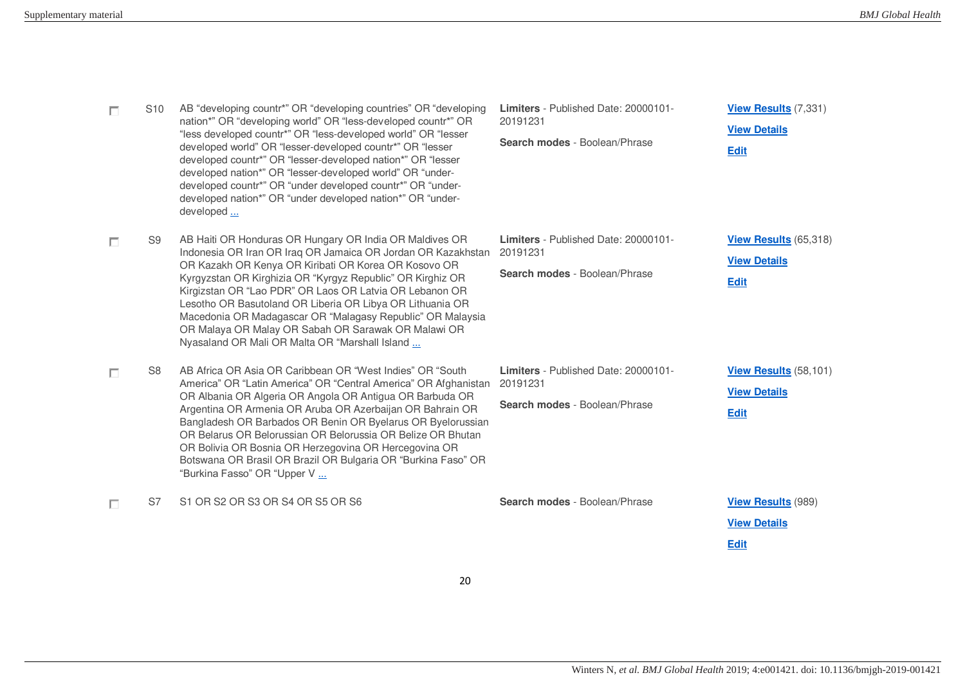|   | S <sub>10</sub> | AB "developing countr*" OR "developing countries" OR "developing<br>nation*" OR "developing world" OR "less-developed countr*" OR<br>"less developed countr*" OR "less-developed world" OR "lesser<br>developed world" OR "lesser-developed countr*" OR "lesser<br>developed countr*" OR "lesser-developed nation*" OR "lesser<br>developed nation*" OR "lesser-developed world" OR "under-<br>developed countr*" OR "under developed countr*" OR "under-<br>developed nation*" OR "under developed nation*" OR "under-<br>developed         | Limiters - Published Date: 20000101-<br>20191231<br>Search modes - Boolean/Phrase | View Results (7,331)<br><b>View Details</b><br><b>Edit</b>      |
|---|-----------------|----------------------------------------------------------------------------------------------------------------------------------------------------------------------------------------------------------------------------------------------------------------------------------------------------------------------------------------------------------------------------------------------------------------------------------------------------------------------------------------------------------------------------------------------|-----------------------------------------------------------------------------------|-----------------------------------------------------------------|
| п | S9              | AB Haiti OR Honduras OR Hungary OR India OR Maldives OR<br>Indonesia OR Iran OR Iraq OR Jamaica OR Jordan OR Kazakhstan<br>OR Kazakh OR Kenya OR Kiribati OR Korea OR Kosovo OR<br>Kyrgyzstan OR Kirghizia OR "Kyrgyz Republic" OR Kirghiz OR<br>Kirgizstan OR "Lao PDR" OR Laos OR Latvia OR Lebanon OR<br>Lesotho OR Basutoland OR Liberia OR Libya OR Lithuania OR<br>Macedonia OR Madagascar OR "Malagasy Republic" OR Malaysia<br>OR Malaya OR Malay OR Sabah OR Sarawak OR Malawi OR<br>Nyasaland OR Mali OR Malta OR "Marshall Island | Limiters - Published Date: 20000101-<br>20191231<br>Search modes - Boolean/Phrase | View Results (65,318)<br><b>View Details</b><br><b>Edit</b>     |
|   | S <sub>8</sub>  | AB Africa OR Asia OR Caribbean OR "West Indies" OR "South<br>America" OR "Latin America" OR "Central America" OR Afghanistan<br>OR Albania OR Algeria OR Angola OR Antigua OR Barbuda OR<br>Argentina OR Armenia OR Aruba OR Azerbaijan OR Bahrain OR<br>Bangladesh OR Barbados OR Benin OR Byelarus OR Byelorussian<br>OR Belarus OR Belorussian OR Belorussia OR Belize OR Bhutan<br>OR Bolivia OR Bosnia OR Herzegovina OR Hercegovina OR<br>Botswana OR Brasil OR Brazil OR Bulgaria OR "Burkina Faso" OR<br>"Burkina Fasso" OR "Upper V | Limiters - Published Date: 20000101-<br>20191231<br>Search modes - Boolean/Phrase | View Results (58,101)<br><b>View Details</b><br><b>Edit</b>     |
|   | S7              | S1 OR S2 OR S3 OR S4 OR S5 OR S6                                                                                                                                                                                                                                                                                                                                                                                                                                                                                                             | Search modes - Boolean/Phrase                                                     | <b>View Results (989)</b><br><b>View Details</b><br><b>Edit</b> |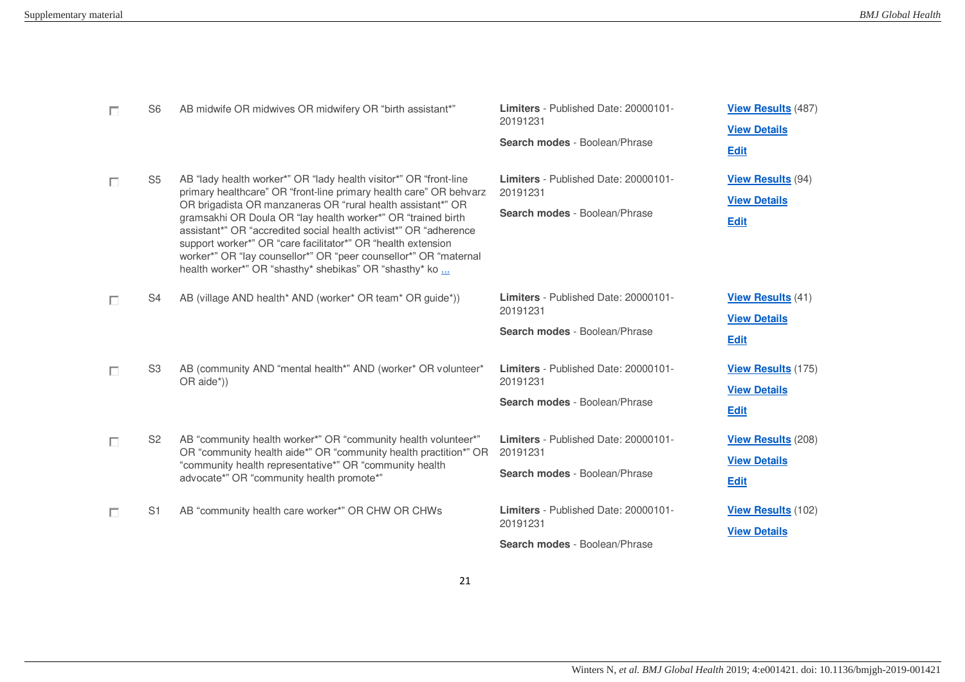| п | S <sub>6</sub> | AB midwife OR midwives OR midwifery OR "birth assistant*"                                                                                                                                                                                                                                                                                                                                                                                                                                                                                 | Limiters - Published Date: 20000101-<br>20191231<br>Search modes - Boolean/Phrase | <b>View Results (487)</b><br><b>View Details</b><br><b>Edit</b> |
|---|----------------|-------------------------------------------------------------------------------------------------------------------------------------------------------------------------------------------------------------------------------------------------------------------------------------------------------------------------------------------------------------------------------------------------------------------------------------------------------------------------------------------------------------------------------------------|-----------------------------------------------------------------------------------|-----------------------------------------------------------------|
| П | S <sub>5</sub> | AB "lady health worker*" OR "lady health visitor*" OR "front-line<br>primary healthcare" OR "front-line primary health care" OR behvarz<br>OR brigadista OR manzaneras OR "rural health assistant*" OR<br>gramsakhi OR Doula OR "lay health worker*" OR "trained birth<br>assistant*" OR "accredited social health activist*" OR "adherence<br>support worker*" OR "care facilitator*" OR "health extension<br>worker*" OR "lay counsellor*" OR "peer counsellor*" OR "maternal<br>health worker*" OR "shasthy* shebikas" OR "shasthy* ko | Limiters - Published Date: 20000101-<br>20191231<br>Search modes - Boolean/Phrase | <b>View Results (94)</b><br><b>View Details</b><br><b>Edit</b>  |
| п | S <sub>4</sub> | AB (village AND health* AND (worker* OR team* OR guide*))                                                                                                                                                                                                                                                                                                                                                                                                                                                                                 | Limiters - Published Date: 20000101-<br>20191231<br>Search modes - Boolean/Phrase | <b>View Results (41)</b><br><b>View Details</b><br><b>Edit</b>  |
| П | S <sub>3</sub> | AB (community AND "mental health*" AND (worker* OR volunteer*<br>OR aide*))                                                                                                                                                                                                                                                                                                                                                                                                                                                               | Limiters - Published Date: 20000101-<br>20191231<br>Search modes - Boolean/Phrase | View Results (175)<br><b>View Details</b><br><b>Edit</b>        |
| П | S <sub>2</sub> | AB "community health worker*" OR "community health volunteer*"<br>OR "community health aide*" OR "community health practition*" OR<br>"community health representative*" OR "community health<br>advocate*" OR "community health promote*"                                                                                                                                                                                                                                                                                                | Limiters - Published Date: 20000101-<br>20191231<br>Search modes - Boolean/Phrase | <b>View Results (208)</b><br><b>View Details</b><br><b>Edit</b> |
| п | S <sub>1</sub> | AB "community health care worker*" OR CHW OR CHWs                                                                                                                                                                                                                                                                                                                                                                                                                                                                                         | Limiters - Published Date: 20000101-<br>20191231<br>Search modes - Boolean/Phrase | <b>View Results (102)</b><br><b>View Details</b>                |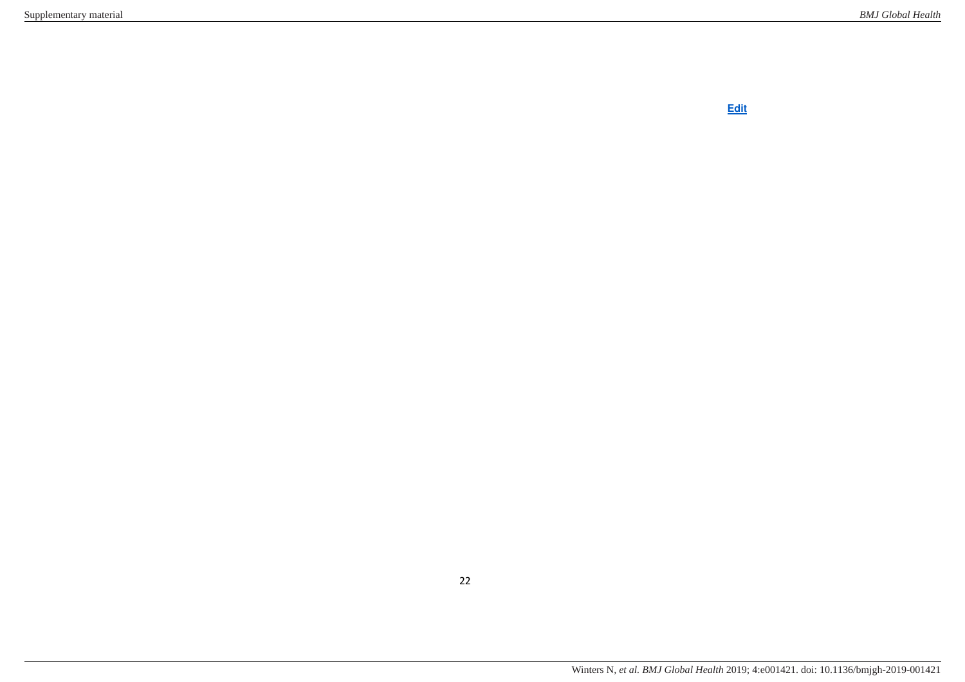**[Edit](http://0-web.a.ebscohost.com.ujlink.uj.ac.za/Legacy/Views/UserControls/Ehost/)**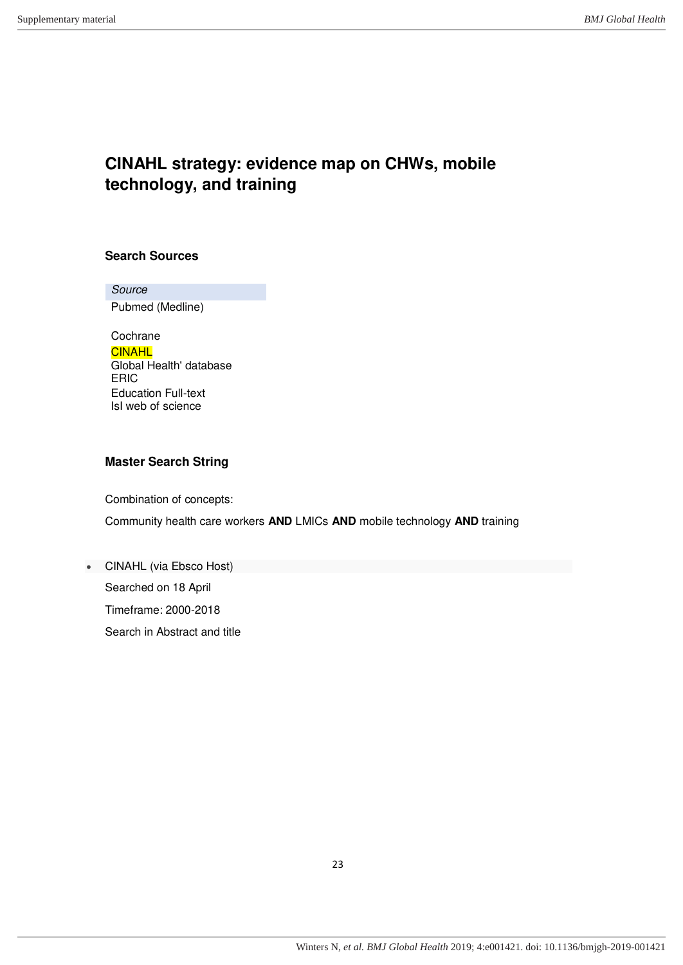## **CINAHL strategy: evidence map on CHWs, mobile technology, and training**

#### **Search Sources**

Source Pubmed (Medline)

**Cochrane CINAHL** Global Health' database ERIC Education Full-text IsI web of science

### **Master Search String**

Combination of concepts:

Community health care workers **AND** LMICs **AND** mobile technology **AND** training

 CINAHL (via Ebsco Host) Searched on 18 April Timeframe: 2000-2018 Search in Abstract and title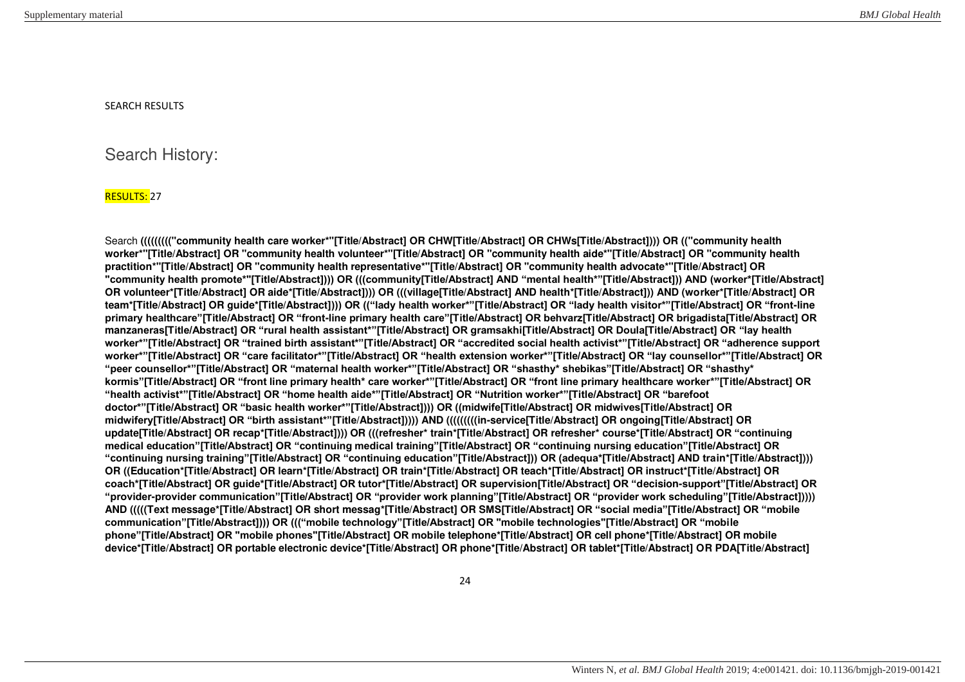Search History:

RESULTS: 27

Search **((((((((("community health care worker\*"[Title/Abstract] OR CHW[Title/Abstract] OR CHWs[Title/Abstract]))) OR (("community health worker\*"[Title/Abstract] OR "community health volunteer\*"[Title/Abstract] OR "community health aide\*"[Title/Abstract] OR "community health practition\*"[Title/Abstract] OR "community health representative\*"[Title/Abstract] OR "community health advocate\*"[Title/Abstract] OR "community health promote\*"[Title/Abstract]))) OR (((community[Title/Abstract] AND "mental health\*"[Title/Abstract])) AND (worker\*[Title/Abstract] OR volunteer\*[Title/Abstract] OR aide\*[Title/Abstract]))) OR (((village[Title/Abstract] AND health\*[Title/Abstract])) AND (worker\*[Title/Abstract] OR team\*[Title/Abstract] OR guide\*[Title/Abstract]))) OR (("lady health worker\*"[Title/Abstract] OR "lady health visitor\*"[Title/Abstract] OR "front-line primary healthcare"[Title/Abstract] OR "front-line primary health care"[Title/Abstract] OR behvarz[Title/Abstract] OR brigadista[Title/Abstract] OR manzaneras[Title/Abstract] OR "rural health assistant\*"[Title/Abstract] OR gramsakhi[Title/Abstract] OR Doula[Title/Abstract] OR "lay health worker\*"[Title/Abstract] OR "trained birth assistant\*"[Title/Abstract] OR "accredited social health activist\*"[Title/Abstract] OR "adherence support worker\*"[Title/Abstract] OR "care facilitator\*"[Title/Abstract] OR "health extension worker\*"[Title/Abstract] OR "lay counsellor\*"[Title/Abstract] OR "peer counsellor\*"[Title/Abstract] OR "maternal health worker\*"[Title/Abstract] OR "shasthy\* shebikas"[Title/Abstract] OR "shasthy\* kormis"[Title/Abstract] OR "front line primary health\* care worker\*"[Title/Abstract] OR "front line primary healthcare worker\*"[Title/Abstract] OR "health activist\*"[Title/Abstract] OR "home health aide\*"[Title/Abstract] OR "Nutrition worker\*"[Title/Abstract] OR "barefoot doctor\*"[Title/Abstract] OR "basic health worker\*"[Title/Abstract]))) OR ((midwife[Title/Abstract] OR midwives[Title/Abstract] OR midwifery[Title/Abstract] OR "birth assistant\*"[Title/Abstract])))) AND (((((((((in-service[Title/Abstract] OR ongoing[Title/Abstract] OR update[Title/Abstract] OR recap\*[Title/Abstract]))) OR (((refresher\* train\*[Title/Abstract] OR refresher\* course\*[Title/Abstract] OR "continuing medical education"[Title/Abstract] OR "continuing medical training"[Title/Abstract] OR "continuing nursing education"[Title/Abstract] OR "continuing nursing training"[Title/Abstract] OR "continuing education"[Title/Abstract])) OR (adequa\*[Title/Abstract] AND train\*[Title/Abstract]))) OR ((Education\*[Title/Abstract] OR learn\*[Title/Abstract] OR train\*[Title/Abstract] OR teach\*[Title/Abstract] OR instruct\*[Title/Abstract] OR coach\*[Title/Abstract] OR guide\*[Title/Abstract] OR tutor\*[Title/Abstract] OR supervision[Title/Abstract] OR "decision-support"[Title/Abstract] OR "provider-provider communication"[Title/Abstract] OR "provider work planning"[Title/Abstract] OR "provider work scheduling"[Title/Abstract])))) AND (((((Text message\*[Title/Abstract] OR short messag\*[Title/Abstract] OR SMS[Title/Abstract] OR "social media"[Title/Abstract] OR "mobile communication"[Title/Abstract]))) OR ((("mobile technology"[Title/Abstract] OR "mobile technologies"[Title/Abstract] OR "mobile phone"[Title/Abstract] OR "mobile phones"[Title/Abstract] OR mobile telephone\*[Title/Abstract] OR cell phone\*[Title/Abstract] OR mobile device\*[Title/Abstract] OR portable electronic device\*[Title/Abstract] OR phone\*[Title/Abstract] OR tablet\*[Title/Abstract] OR PDA[Title/Abstract]**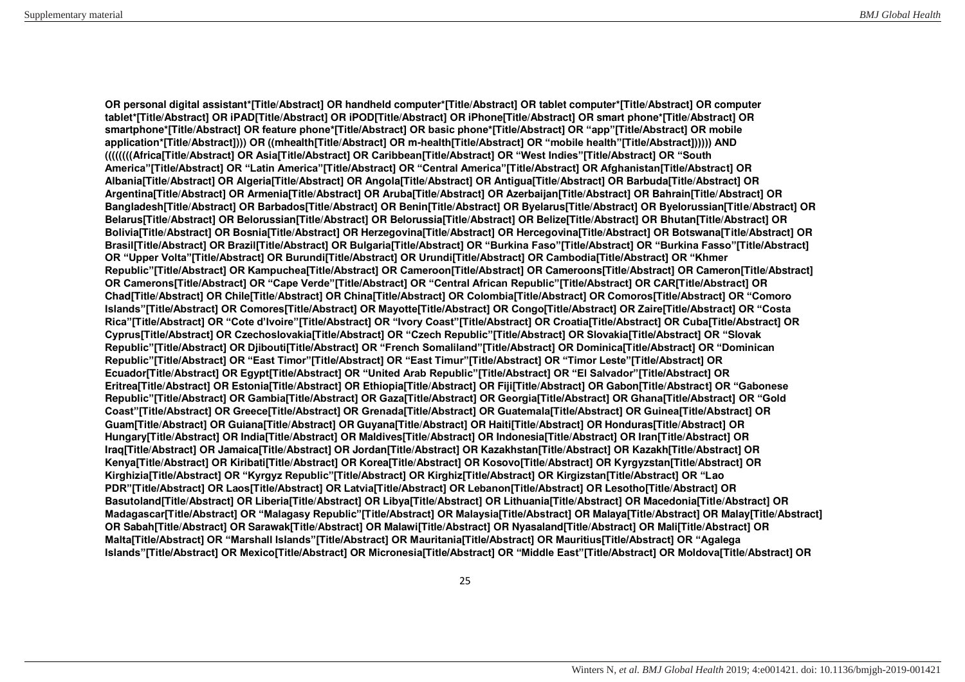**OR personal digital assistant\*[Title/Abstract] OR handheld computer\*[Title/Abstract] OR tablet computer\*[Title/Abstract] OR computer tablet\*[Title/Abstract] OR iPAD[Title/Abstract] OR iPOD[Title/Abstract] OR iPhone[Title/Abstract] OR smart phone\*[Title/Abstract] OR smartphone\*[Title/Abstract] OR feature phone\*[Title/Abstract] OR basic phone\*[Title/Abstract] OR "app"[Title/Abstract] OR mobile application\*[Title/Abstract]))) OR ((mhealth[Title/Abstract] OR m-health[Title/Abstract] OR "mobile health"[Title/Abstract]))))) AND ((((((((Africa[Title/Abstract] OR Asia[Title/Abstract] OR Caribbean[Title/Abstract] OR "West Indies"[Title/Abstract] OR "South America"[Title/Abstract] OR "Latin America"[Title/Abstract] OR "Central America"[Title/Abstract] OR Afghanistan[Title/Abstract] OR Albania[Title/Abstract] OR Algeria[Title/Abstract] OR Angola[Title/Abstract] OR Antigua[Title/Abstract] OR Barbuda[Title/Abstract] OR Argentina[Title/Abstract] OR Armenia[Title/Abstract] OR Aruba[Title/Abstract] OR Azerbaijan[Title/Abstract] OR Bahrain[Title/Abstract] OR Bangladesh[Title/Abstract] OR Barbados[Title/Abstract] OR Benin[Title/Abstract] OR Byelarus[Title/Abstract] OR Byelorussian[Title/Abstract] OR Belarus[Title/Abstract] OR Belorussian[Title/Abstract] OR Belorussia[Title/Abstract] OR Belize[Title/Abstract] OR Bhutan[Title/Abstract] OR Bolivia[Title/Abstract] OR Bosnia[Title/Abstract] OR Herzegovina[Title/Abstract] OR Hercegovina[Title/Abstract] OR Botswana[Title/Abstract] OR Brasil[Title/Abstract] OR Brazil[Title/Abstract] OR Bulgaria[Title/Abstract] OR "Burkina Faso"[Title/Abstract] OR "Burkina Fasso"[Title/Abstract] OR "Upper Volta"[Title/Abstract] OR Burundi[Title/Abstract] OR Urundi[Title/Abstract] OR Cambodia[Title/Abstract] OR "Khmer Republic"[Title/Abstract] OR Kampuchea[Title/Abstract] OR Cameroon[Title/Abstract] OR Cameroons[Title/Abstract] OR Cameron[Title/Abstract] OR Camerons[Title/Abstract] OR "Cape Verde"[Title/Abstract] OR "Central African Republic"[Title/Abstract] OR CAR[Title/Abstract] OR Chad[Title/Abstract] OR Chile[Title/Abstract] OR China[Title/Abstract] OR Colombia[Title/Abstract] OR Comoros[Title/Abstract] OR "Comoro Islands"[Title/Abstract] OR Comores[Title/Abstract] OR Mayotte[Title/Abstract] OR Congo[Title/Abstract] OR Zaire[Title/Abstract] OR "Costa Rica"[Title/Abstract] OR "Cote d'Ivoire"[Title/Abstract] OR "Ivory Coast"[Title/Abstract] OR Croatia[Title/Abstract] OR Cuba[Title/Abstract] OR Cyprus[Title/Abstract] OR Czechoslovakia[Title/Abstract] OR "Czech Republic"[Title/Abstract] OR Slovakia[Title/Abstract] OR "Slovak Republic"[Title/Abstract] OR Djibouti[Title/Abstract] OR "French Somaliland"[Title/Abstract] OR Dominica[Title/Abstract] OR "Dominican Republic"[Title/Abstract] OR "East Timor"[Title/Abstract] OR "East Timur"[Title/Abstract] OR "Timor Leste"[Title/Abstract] OR Ecuador[Title/Abstract] OR Egypt[Title/Abstract] OR "United Arab Republic"[Title/Abstract] OR "El Salvador"[Title/Abstract] OR Eritrea[Title/Abstract] OR Estonia[Title/Abstract] OR Ethiopia[Title/Abstract] OR Fiji[Title/Abstract] OR Gabon[Title/Abstract] OR "Gabonese Republic"[Title/Abstract] OR Gambia[Title/Abstract] OR Gaza[Title/Abstract] OR Georgia[Title/Abstract] OR Ghana[Title/Abstract] OR "Gold Coast"[Title/Abstract] OR Greece[Title/Abstract] OR Grenada[Title/Abstract] OR Guatemala[Title/Abstract] OR Guinea[Title/Abstract] OR Guam[Title/Abstract] OR Guiana[Title/Abstract] OR Guyana[Title/Abstract] OR Haiti[Title/Abstract] OR Honduras[Title/Abstract] OR Hungary[Title/Abstract] OR India[Title/Abstract] OR Maldives[Title/Abstract] OR Indonesia[Title/Abstract] OR Iran[Title/Abstract] OR Iraq[Title/Abstract] OR Jamaica[Title/Abstract] OR Jordan[Title/Abstract] OR Kazakhstan[Title/Abstract] OR Kazakh[Title/Abstract] OR Kenya[Title/Abstract] OR Kiribati[Title/Abstract] OR Korea[Title/Abstract] OR Kosovo[Title/Abstract] OR Kyrgyzstan[Title/Abstract] OR Kirghizia[Title/Abstract] OR "Kyrgyz Republic"[Title/Abstract] OR Kirghiz[Title/Abstract] OR Kirgizstan[Title/Abstract] OR "Lao PDR"[Title/Abstract] OR Laos[Title/Abstract] OR Latvia[Title/Abstract] OR Lebanon[Title/Abstract] OR Lesotho[Title/Abstract] OR Basutoland[Title/Abstract] OR Liberia[Title/Abstract] OR Libya[Title/Abstract] OR Lithuania[Title/Abstract] OR Macedonia[Title/Abstract] OR Madagascar[Title/Abstract] OR "Malagasy Republic"[Title/Abstract] OR Malaysia[Title/Abstract] OR Malaya[Title/Abstract] OR Malay[Title/Abstract] OR Sabah[Title/Abstract] OR Sarawak[Title/Abstract] OR Malawi[Title/Abstract] OR Nyasaland[Title/Abstract] OR Mali[Title/Abstract] OR Malta[Title/Abstract] OR "Marshall Islands"[Title/Abstract] OR Mauritania[Title/Abstract] OR Mauritius[Title/Abstract] OR "Agalega Islands"[Title/Abstract] OR Mexico[Title/Abstract] OR Micronesia[Title/Abstract] OR "Middle East"[Title/Abstract] OR Moldova[Title/Abstract] OR**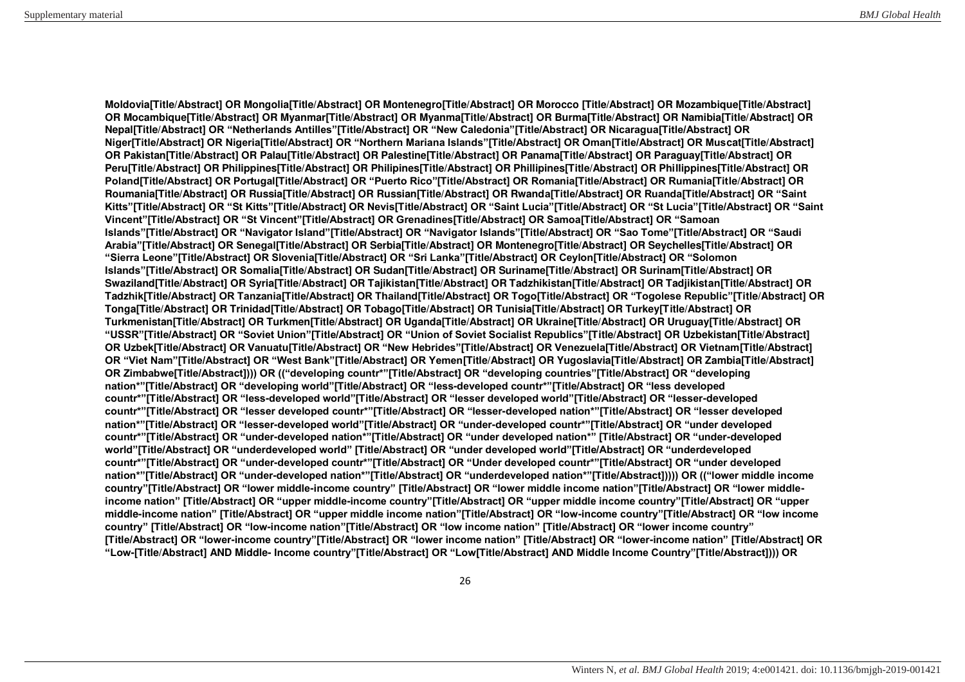**Moldovia[Title/Abstract] OR Mongolia[Title/Abstract] OR Montenegro[Title/Abstract] OR Morocco [Title/Abstract] OR Mozambique[Title/Abstract] OR Mocambique[Title/Abstract] OR Myanmar[Title/Abstract] OR Myanma[Title/Abstract] OR Burma[Title/Abstract] OR Namibia[Title/Abstract] OR Nepal[Title/Abstract] OR "Netherlands Antilles"[Title/Abstract] OR "New Caledonia"[Title/Abstract] OR Nicaragua[Title/Abstract] OR Niger[Title/Abstract] OR Nigeria[Title/Abstract] OR "Northern Mariana Islands"[Title/Abstract] OR Oman[Title/Abstract] OR Muscat[Title/Abstract]**  OR Pakistan[Title/Abstract] OR Palau[Title/Abstract] OR Palestine[Title/Abstract] OR Panama[Title/Abstract] OR Paraguay[Title/Abstract] OR **Peru[Title/Abstract] OR Philippines[Title/Abstract] OR Philipines[Title/Abstract] OR Phillipines[Title/Abstract] OR Phillippines[Title/Abstract] OR Poland[Title/Abstract] OR Portugal[Title/Abstract] OR "Puerto Rico"[Title/Abstract] OR Romania[Title/Abstract] OR Rumania[Title/Abstract] OR Roumania[Title/Abstract] OR Russia[Title/Abstract] OR Russian[Title/Abstract] OR Rwanda[Title/Abstract] OR Ruanda[Title/Abstract] OR "Saint Kitts"[Title/Abstract] OR "St Kitts"[Title/Abstract] OR Nevis[Title/Abstract] OR "Saint Lucia"[Title/Abstract] OR "St Lucia"[Title/Abstract] OR "Saint Vincent"[Title/Abstract] OR "St Vincent"[Title/Abstract] OR Grenadines[Title/Abstract] OR Samoa[Title/Abstract] OR "Samoan Islands"[Title/Abstract] OR "Navigator Island"[Title/Abstract] OR "Navigator Islands"[Title/Abstract] OR "Sao Tome"[Title/Abstract] OR "Saudi Arabia"[Title/Abstract] OR Senegal[Title/Abstract] OR Serbia[Title/Abstract] OR Montenegro[Title/Abstract] OR Seychelles[Title/Abstract] OR "Sierra Leone"[Title/Abstract] OR Slovenia[Title/Abstract] OR "Sri Lanka"[Title/Abstract] OR Ceylon[Title/Abstract] OR "Solomon Islands"[Title/Abstract] OR Somalia[Title/Abstract] OR Sudan[Title/Abstract] OR Suriname[Title/Abstract] OR Surinam[Title/Abstract] OR Swaziland[Title/Abstract] OR Syria[Title/Abstract] OR Tajikistan[Title/Abstract] OR Tadzhikistan[Title/Abstract] OR Tadjikistan[Title/Abstract] OR Tadzhik[Title/Abstract] OR Tanzania[Title/Abstract] OR Thailand[Title/Abstract] OR Togo[Title/Abstract] OR "Togolese Republic"[Title/Abstract] OR Tonga[Title/Abstract] OR Trinidad[Title/Abstract] OR Tobago[Title/Abstract] OR Tunisia[Title/Abstract] OR Turkey[Title/Abstract] OR Turkmenistan[Title/Abstract] OR Turkmen[Title/Abstract] OR Uganda[Title/Abstract] OR Ukraine[Title/Abstract] OR Uruguay[Title/Abstract] OR "USSR"[Title/Abstract] OR "Soviet Union"[Title/Abstract] OR "Union of Soviet Socialist Republics"[Title/Abstract] OR Uzbekistan[Title/Abstract] OR Uzbek[Title/Abstract] OR Vanuatu[Title/Abstract] OR "New Hebrides"[Title/Abstract] OR Venezuela[Title/Abstract] OR Vietnam[Title/Abstract] OR "Viet Nam"[Title/Abstract] OR "West Bank"[Title/Abstract] OR Yemen[Title/Abstract] OR Yugoslavia[Title/Abstract] OR Zambia[Title/Abstract] OR Zimbabwe[Title/Abstract]))) OR (("developing countr\*"[Title/Abstract] OR "developing countries"[Title/Abstract] OR "developing nation\*"[Title/Abstract] OR "developing world"[Title/Abstract] OR "less-developed countr\*"[Title/Abstract] OR "less developed countr\*"[Title/Abstract] OR "less-developed world"[Title/Abstract] OR "lesser developed world"[Title/Abstract] OR "lesser-developed countr\*"[Title/Abstract] OR "lesser developed countr\*"[Title/Abstract] OR "lesser-developed nation\*"[Title/Abstract] OR "lesser developed nation\*"[Title/Abstract] OR "lesser-developed world"[Title/Abstract] OR "under-developed countr\*"[Title/Abstract] OR "under developed countr\*"[Title/Abstract] OR "under-developed nation\*"[Title/Abstract] OR "under developed nation\*" [Title/Abstract] OR "under-developed world"[Title/Abstract] OR "underdeveloped world" [Title/Abstract] OR "under developed world"[Title/Abstract] OR "underdeveloped countr\*"[Title/Abstract] OR "under-developed countr\*"[Title/Abstract] OR "Under developed countr\*"[Title/Abstract] OR "under developed nation\*"[Title/Abstract] OR "under-developed nation\*"[Title/Abstract] OR "underdeveloped nation\*"[Title/Abstract])))) OR (("lower middle income country"[Title/Abstract] OR "lower middle-income country" [Title/Abstract] OR "lower middle income nation"[Title/Abstract] OR "lower middleincome nation" [Title/Abstract] OR "upper middle-income country"[Title/Abstract] OR "upper middle income country"[Title/Abstract] OR "upper middle-income nation" [Title/Abstract] OR "upper middle income nation"[Title/Abstract] OR "low-income country"[Title/Abstract] OR "low income country" [Title/Abstract] OR "low-income nation"[Title/Abstract] OR "low income nation" [Title/Abstract] OR "lower income country" [Title/Abstract] OR "lower-income country"[Title/Abstract] OR "lower income nation" [Title/Abstract] OR "lower-income nation" [Title/Abstract] OR "Low-[Title/Abstract] AND Middle- Income country"[Title/Abstract] OR "Low[Title/Abstract] AND Middle Income Country"[Title/Abstract]))) OR**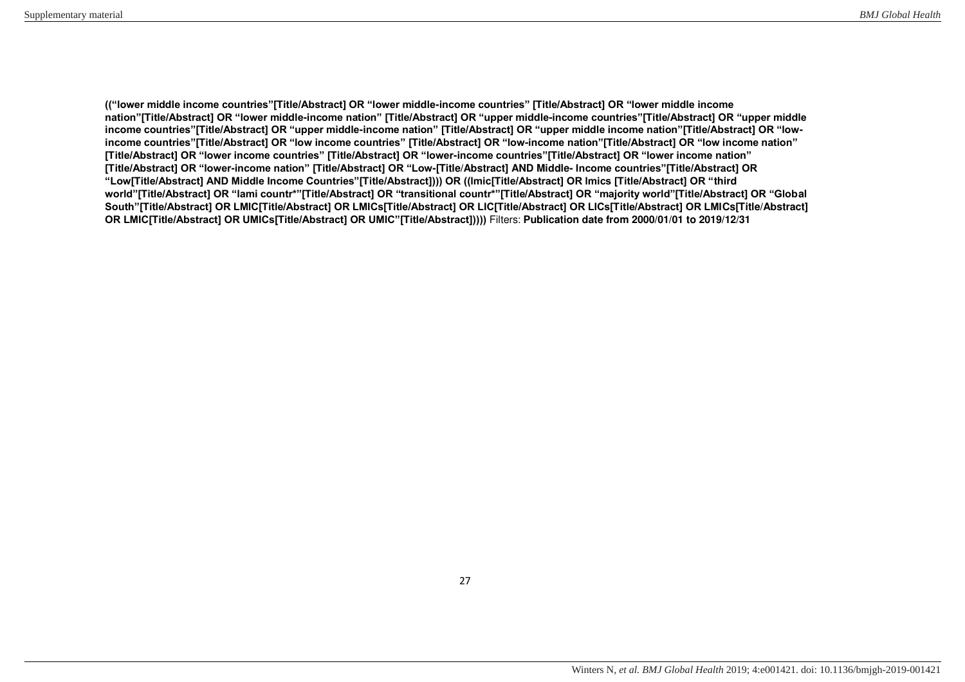**(("lower middle income countries"[Title/Abstract] OR "lower middle-income countries" [Title/Abstract] OR "lower middle income nation"[Title/Abstract] OR "lower middle-income nation" [Title/Abstract] OR "upper middle-income countries"[Title/Abstract] OR "upper middle income countries"[Title/Abstract] OR "upper middle-income nation" [Title/Abstract] OR "upper middle income nation"[Title/Abstract] OR "lowincome countries"[Title/Abstract] OR "low income countries" [Title/Abstract] OR "low-income nation"[Title/Abstract] OR "low income nation" [Title/Abstract] OR "lower income countries" [Title/Abstract] OR "lower-income countries"[Title/Abstract] OR "lower income nation" [Title/Abstract] OR "lower-income nation" [Title/Abstract] OR "Low-[Title/Abstract] AND Middle- Income countries"[Title/Abstract] OR "Low[Title/Abstract] AND Middle Income Countries"[Title/Abstract]))) OR ((lmic[Title/Abstract] OR lmics [Title/Abstract] OR "third world"[Title/Abstract] OR "lami countr\*"[Title/Abstract] OR "transitional countr\*"[Title/Abstract] OR "majority world"[Title/Abstract] OR "Global South"[Title/Abstract] OR LMIC[Title/Abstract] OR LMICs[Title/Abstract] OR LIC[Title/Abstract] OR LICs[Title/Abstract] OR LMICs[Title/Abstract] OR LMIC[Title/Abstract] OR UMICs[Title/Abstract] OR UMIC"[Title/Abstract]))))** Filters: **Publication date from 2000/01/01 to 2019/12/31**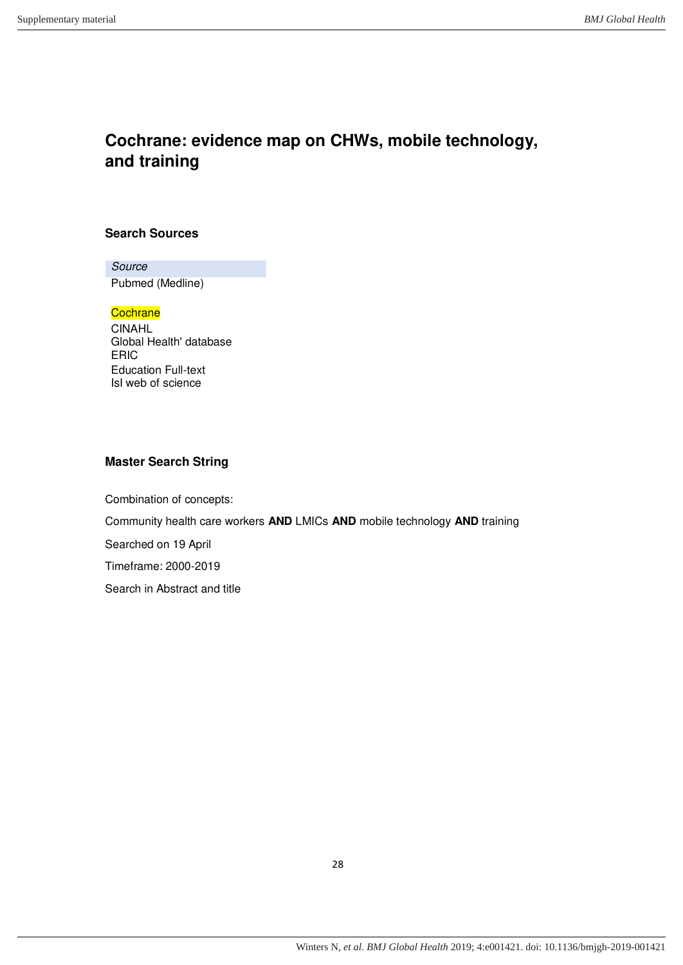## **Cochrane: evidence map on CHWs, mobile technology, and training**

#### **Search Sources**

Source Pubmed (Medline)

#### **Cochrane**

CINAHL Global Health' database ERIC Education Full-text IsI web of science

#### **Master Search String**

Combination of concepts: Community health care workers **AND** LMICs **AND** mobile technology **AND** training Searched on 19 April Timeframe: 2000-2019 Search in Abstract and title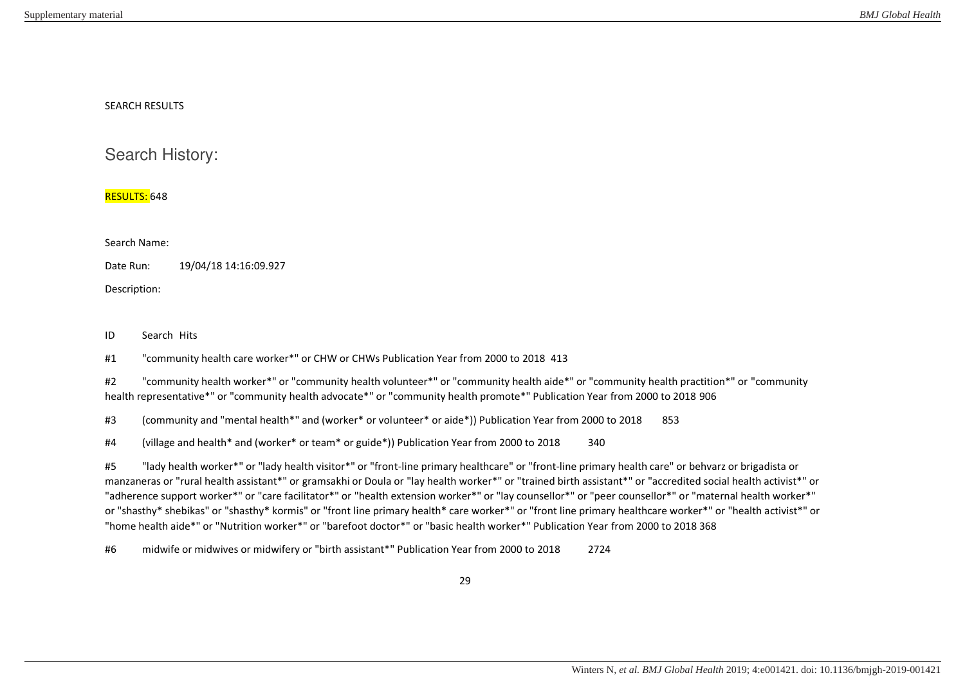Search History:

**RESULTS: 648** 

Search Name:

Date Run: 19/04/18 14:16:09.927

Description:

ID Search Hits

#1 "community health care worker\*" or CHW or CHWs Publication Year from 2000 to 2018 413

#2 "community health worker\*" or "community health volunteer\*" or "community health aide\*" or "community health practition\*" or "community health representative\*" or "community health advocate\*" or "community health promote\*" Publication Year from 2000 to 2018 906

#3 (community and "mental health\*" and (worker\* or volunteer\* or aide\*)) Publication Year from 2000 to 2018 853

#4 (village and health\* and (worker\* or team\* or guide\*)) Publication Year from 2000 to 2018 340

#5 "lady health worker\*" or "lady health visitor\*" or "front-line primary healthcare" or "front-line primary health care" or behvarz or brigadista or manzaneras or "rural health assistant\*" or gramsakhi or Doula or "lay health worker\*" or "trained birth assistant\*" or "accredited social health activist\*" or "adherence support worker\*" or "care facilitator\*" or "health extension worker\*" or "lay counsellor\*" or "peer counsellor\*" or "maternal health worker\*" or "shasthy\* shebikas" or "shasthy\* kormis" or "front line primary health\* care worker\*" or "front line primary healthcare worker\*" or "health activist\*" or "home health aide\*" or "Nutrition worker\*" or "barefoot doctor\*" or "basic health worker\*" Publication Year from 2000 to 2018 368

#6 midwife or midwives or midwifery or "birth assistant\*" Publication Year from 2000 to 2018 2724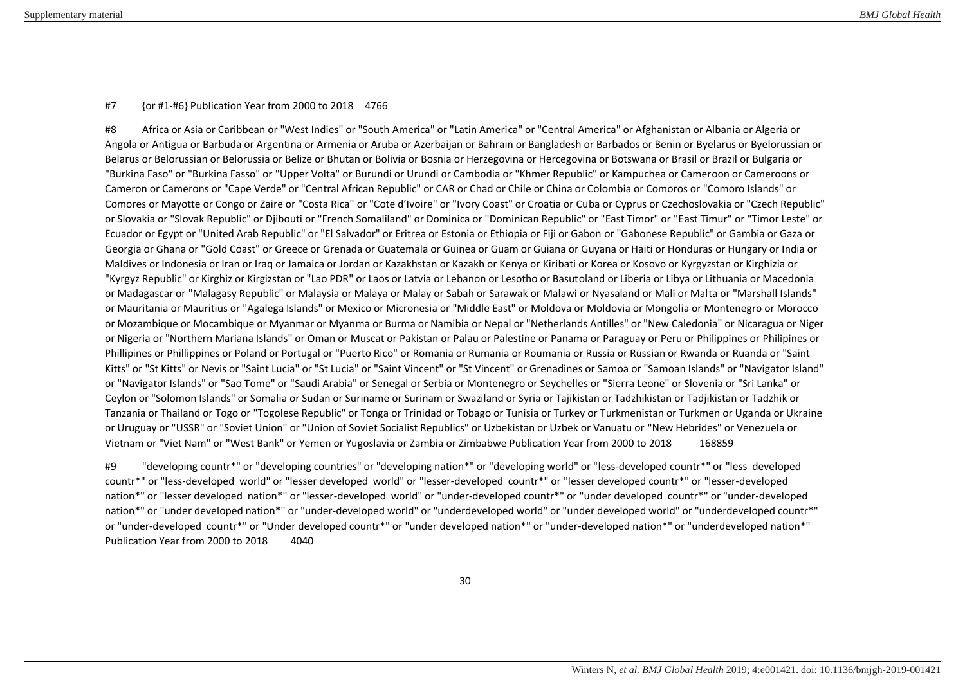#### #7 {or #1-#6} Publication Year from 2000 to 2018 4766

#8 Africa or Asia or Caribbean or "West Indies" or "South America" or "Latin America" or "Central America" or Afghanistan or Albania or Algeria or Angola or Antigua or Barbuda or Argentina or Armenia or Aruba or Azerbaijan or Bahrain or Bangladesh or Barbados or Benin or Byelarus or Byelorussian or Belarus or Belorussian or Belorussia or Belize or Bhutan or Bolivia or Bosnia or Herzegovina or Hercegovina or Botswana or Brasil or Brazil or Bulgaria or "Burkina Faso" or "Burkina Fasso" or "Upper Volta" or Burundi or Urundi or Cambodia or "Khmer Republic" or Kampuchea or Cameroon or Cameroons or Cameron or Camerons or "Cape Verde" or "Central African Republic" or CAR or Chad or Chile or China or Colombia or Comoros or "Comoro Islands" or Comores or Mayotte or Congo or Zaire or "Costa Rica" or "Cote d'Ivoire" or "Ivory Coast" or Croatia or Cuba or Cyprus or Czechoslovakia or "Czech Republic" or Slovakia or "Slovak Republic" or Djibouti or "French Somaliland" or Dominica or "Dominican Republic" or "East Timor" or "East Timur" or "Timor Leste" or Ecuador or Egypt or "United Arab Republic" or "El Salvador" or Eritrea or Estonia or Ethiopia or Fiji or Gabon or "Gabonese Republic" or Gambia or Gaza or Georgia or Ghana or "Gold Coast" or Greece or Grenada or Guatemala or Guinea or Guam or Guiana or Guyana or Haiti or Honduras or Hungary or India or Maldives or Indonesia or Iran or Iraq or Jamaica or Jordan or Kazakhstan or Kazakh or Kenya or Kiribati or Korea or Kosovo or Kyrgyzstan or Kirghizia or "Kyrgyz Republic" or Kirghiz or Kirgizstan or "Lao PDR" or Laos or Latvia or Lebanon or Lesotho or Basutoland or Liberia or Libya or Lithuania or Macedonia or Madagascar or "Malagasy Republic" or Malaysia or Malaya or Malay or Sabah or Sarawak or Malawi or Nyasaland or Mali or Malta or "Marshall Islands" or Mauritania or Mauritius or "Agalega Islands" or Mexico or Micronesia or "Middle East" or Moldova or Moldovia or Mongolia or Montenegro or Morocco or Mozambique or Mocambique or Myanmar or Myanma or Burma or Namibia or Nepal or "Netherlands Antilles" or "New Caledonia" or Nicaragua or Niger or Nigeria or "Northern Mariana Islands" or Oman or Muscat or Pakistan or Palau or Palestine or Panama or Paraguay or Peru or Philippines or Philipines or Phillipines or Phillippines or Poland or Portugal or "Puerto Rico" or Romania or Rumania or Roumania or Russia or Russian or Rwanda or Ruanda or "Saint Kitts" or "St Kitts" or Nevis or "Saint Lucia" or "St Lucia" or "Saint Vincent" or "St Vincent" or Grenadines or Samoa or "Samoan Islands" or "Navigator Island" or "Navigator Islands" or "Sao Tome" or "Saudi Arabia" or Senegal or Serbia or Montenegro or Seychelles or "Sierra Leone" or Slovenia or "Sri Lanka" or Ceylon or "Solomon Islands" or Somalia or Sudan or Suriname or Surinam or Swaziland or Syria or Tajikistan or Tadzhikistan or Tadjikistan or Tadzhik or Tanzania or Thailand or Togo or "Togolese Republic" or Tonga or Trinidad or Tobago or Tunisia or Turkey or Turkmenistan or Turkmen or Uganda or Ukraine or Uruguay or "USSR" or "Soviet Union" or "Union of Soviet Socialist Republics" or Uzbekistan or Uzbek or Vanuatu or "New Hebrides" or Venezuela or Vietnam or "Viet Nam" or "West Bank" or Yemen or Yugoslavia or Zambia or Zimbabwe Publication Year from 2000 to 2018 168859

#9 "developing countr\*" or "developing countries" or "developing nation\*" or "developing world" or "less-developed countr\*" or "less developed countr\*" or "less-developed world" or "lesser developed world" or "lesser-developed countr\*" or "lesser developed countr\*" or "lesser-developed nation\*" or "lesser developed nation\*" or "lesser-developed world" or "under-developed countr\*" or "under developed countr\*" or "under-developed nation\*" or "under developed nation\*" or "under-developed world" or "underdeveloped world" or "under developed world" or "underdeveloped countr\*" or "under-developed countr\*" or "Under developed countr\*" or "under developed nation\*" or "under-developed nation\*" or "underdeveloped nation\*" Publication Year from 2000 to 2018 4040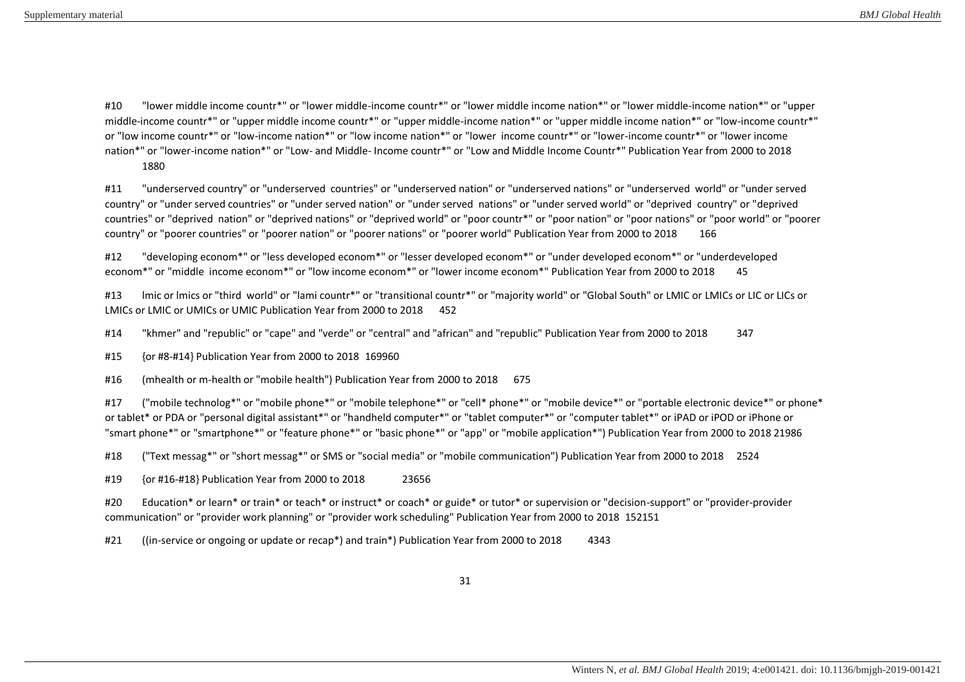#10 "lower middle income countr\*" or "lower middle-income countr\*" or "lower middle income nation\*" or "lower middle-income nation\*" or "upper middle-income countr\*" or "upper middle income countr\*" or "upper middle-income nation\*" or "upper middle income nation\*" or "low-income countr\*" or "low income countr\*" or "low-income nation\*" or "low income nation\*" or "lower income countr\*" or "lower-income countr\*" or "lower income nation\*" or "lower-income nation\*" or "Low- and Middle- Income countr\*" or "Low and Middle Income Countr\*" Publication Year from 2000 to 2018

1880

#11 "underserved country" or "underserved countries" or "underserved nation" or "underserved nations" or "underserved world" or "under served country" or "under served countries" or "under served nation" or "under served nations" or "under served world" or "deprived country" or "deprived countries" or "deprived nation" or "deprived nations" or "deprived world" or "poor countr\*" or "poor nation" or "poor nations" or "poor world" or "poorer country" or "poorer countries" or "poorer nation" or "poorer nations" or "poorer world" Publication Year from 2000 to 2018 166

#12 "developing econom\*" or "less developed econom\*" or "lesser developed econom\*" or "under developed econom\*" or "underdeveloped econom\*" or "middle income econom\*" or "low income econom\*" or "lower income econom\*" Publication Year from 2000 to 2018 45

#13 lmic or lmics or "third world" or "lami countr\*" or "transitional countr\*" or "majority world" or "Global South" or LMIC or LMICs or LIC or LICs or LMICs or LMIC or UMICs or UMIC Publication Year from 2000 to 2018 452

#14 "khmer" and "republic" or "cape" and "verde" or "central" and "african" and "republic" Publication Year from 2000 to 2018 347

#15 {or #8-#14} Publication Year from 2000 to 2018 169960

#16 (mhealth or m-health or "mobile health") Publication Year from 2000 to 2018 675

#17 ("mobile technolog\*" or "mobile phone\*" or "mobile telephone\*" or "cell\* phone\*" or "mobile device\*" or "portable electronic device\*" or phone\* or tablet\* or PDA or "personal digital assistant\*" or "handheld computer\*" or "tablet computer\*" or "computer tablet\*" or iPAD or iPOD or iPhone or "smart phone\*" or "smartphone\*" or "feature phone\*" or "basic phone\*" or "app" or "mobile application\*") Publication Year from 2000 to 2018 21986

#18 ("Text messag\*" or "short messag\*" or SMS or "social media" or "mobile communication") Publication Year from 2000 to 2018 2524

#19 {or #16-#18} Publication Year from 2000 to 2018 23656

#20 Education\* or learn\* or train\* or teach\* or instruct\* or coach\* or guide\* or tutor\* or supervision or "decision-support" or "provider-provider communication" or "provider work planning" or "provider work scheduling" Publication Year from 2000 to 2018 152151

#21 ((in-service or ongoing or update or recap\*) and train\*) Publication Year from 2000 to 2018 4343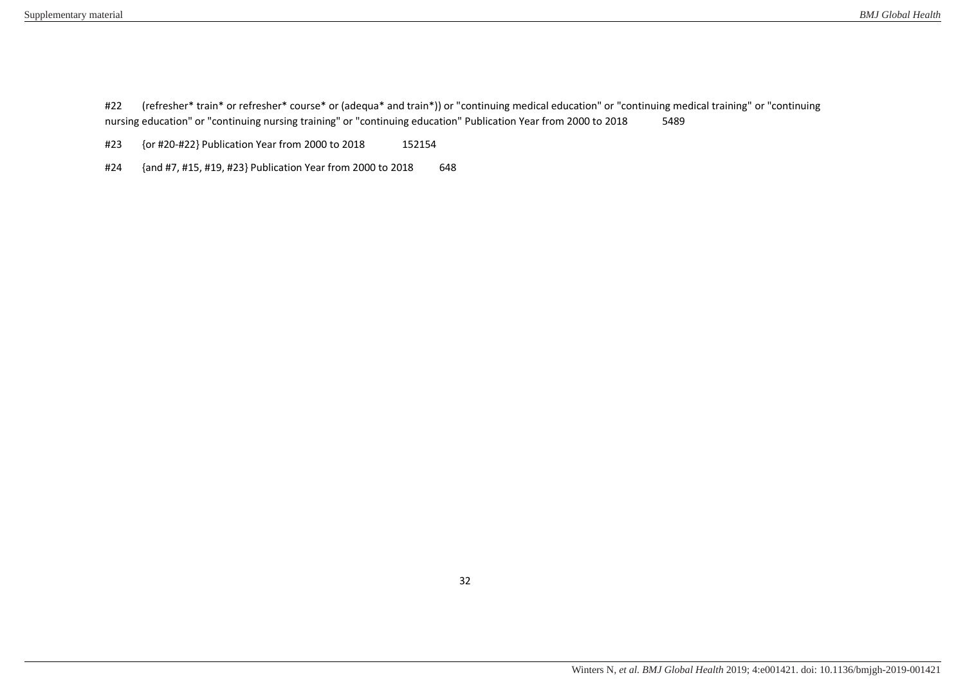#22 (refresher\* train\* or refresher\* course\* or (adequa\* and train\*)) or "continuing medical education" or "continuing medical training" or "continuing nursing education" or "continuing nursing training" or "continuing education" Publication Year from 2000 to 2018 5489

#23 {or #20-#22} Publication Year from 2000 to 2018 152154

#24 {and #7, #15, #19, #23} Publication Year from 2000 to 2018 648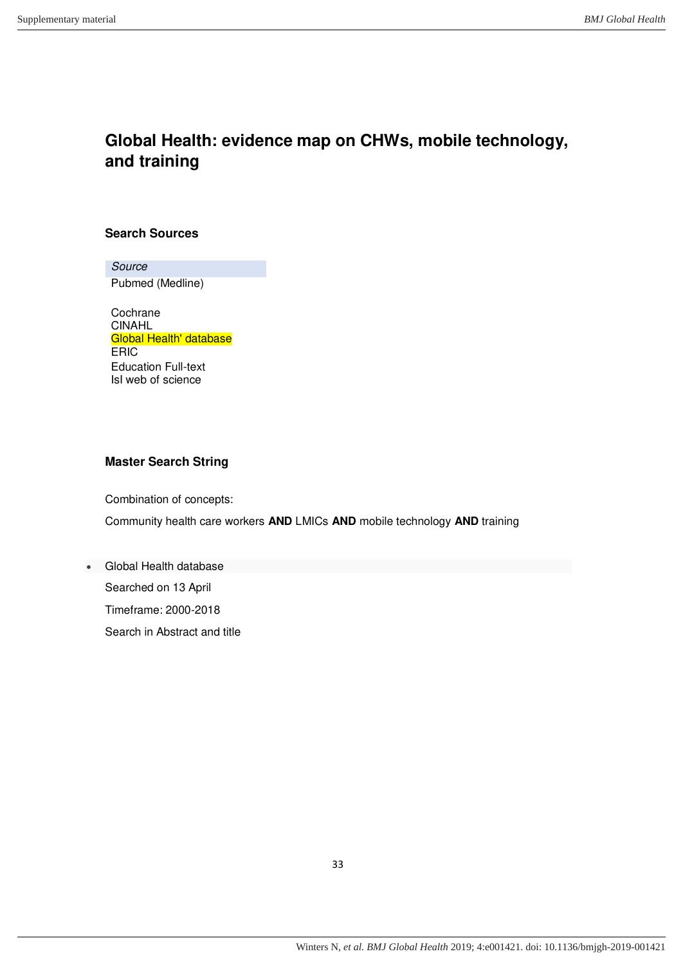## **Global Health: evidence map on CHWs, mobile technology, and training**

### **Search Sources**

Source Pubmed (Medline)

**Cochrane** CINAHL Global Health' database **ERIC** Education Full-text IsI web of science

### **Master Search String**

Combination of concepts:

Community health care workers **AND** LMICs **AND** mobile technology **AND** training

 Global Health database Searched on 13 April Timeframe: 2000-2018 Search in Abstract and title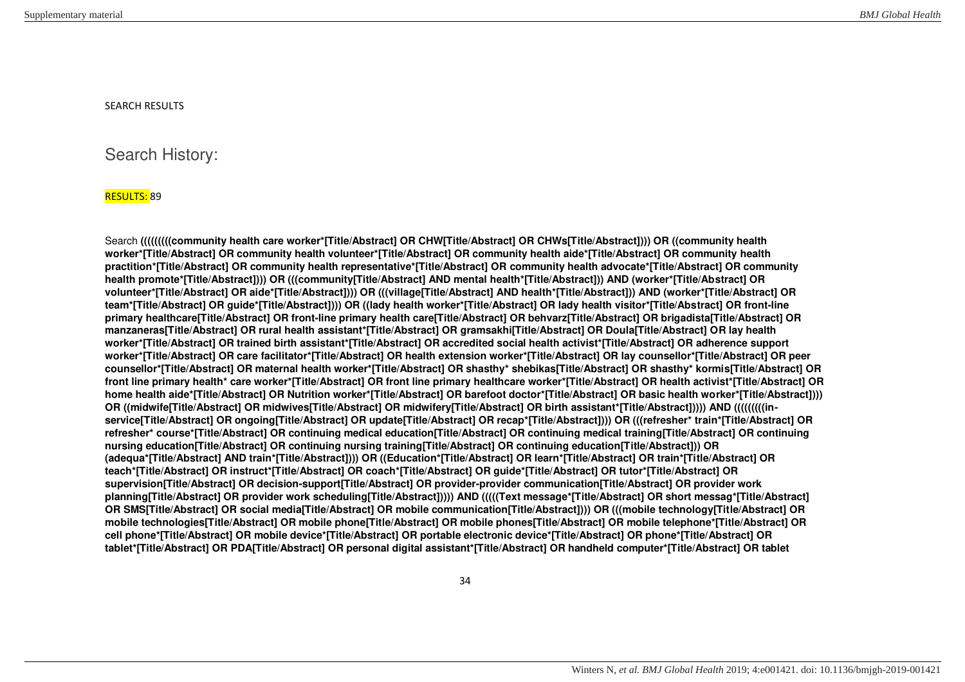## Search History:

RESULTS: 89

Search **(((((((((community health care worker\*[Title/Abstract] OR CHW[Title/Abstract] OR CHWs[Title/Abstract]))) OR ((community health worker\*[Title/Abstract] OR community health volunteer\*[Title/Abstract] OR community health aide\*[Title/Abstract] OR community health practition\*[Title/Abstract] OR community health representative\*[Title/Abstract] OR community health advocate\*[Title/Abstract] OR community health promote\*[Title/Abstract]))) OR (((community[Title/Abstract] AND mental health\*[Title/Abstract])) AND (worker\*[Title/Abstract] OR volunteer\*[Title/Abstract] OR aide\*[Title/Abstract]))) OR (((village[Title/Abstract] AND health\*[Title/Abstract])) AND (worker\*[Title/Abstract] OR team\*[Title/Abstract] OR guide\*[Title/Abstract]))) OR ((lady health worker\*[Title/Abstract] OR lady health visitor\*[Title/Abstract] OR front-line primary healthcare[Title/Abstract] OR front-line primary health care[Title/Abstract] OR behvarz[Title/Abstract] OR brigadista[Title/Abstract] OR manzaneras[Title/Abstract] OR rural health assistant\*[Title/Abstract] OR gramsakhi[Title/Abstract] OR Doula[Title/Abstract] OR lay health worker\*[Title/Abstract] OR trained birth assistant\*[Title/Abstract] OR accredited social health activist\*[Title/Abstract] OR adherence support worker\*[Title/Abstract] OR care facilitator\*[Title/Abstract] OR health extension worker\*[Title/Abstract] OR lay counsellor\*[Title/Abstract] OR peer counsellor\*[Title/Abstract] OR maternal health worker\*[Title/Abstract] OR shasthy\* shebikas[Title/Abstract] OR shasthy\* kormis[Title/Abstract] OR**  front line primary health\* care worker\*[Title/Abstract] OR front line primary healthcare worker\*[Title/Abstract] OR health activist\*[Title/Abstract] OR **home health aide\*[Title/Abstract] OR Nutrition worker\*[Title/Abstract] OR barefoot doctor\*[Title/Abstract] OR basic health worker\*[Title/Abstract]))) OR ((midwife[Title/Abstract] OR midwives[Title/Abstract] OR midwifery[Title/Abstract] OR birth assistant\*[Title/Abstract])))) AND (((((((((inservice[Title/Abstract] OR ongoing[Title/Abstract] OR update[Title/Abstract] OR recap\*[Title/Abstract]))) OR (((refresher\* train\*[Title/Abstract] OR refresher\* course\*[Title/Abstract] OR continuing medical education[Title/Abstract] OR continuing medical training[Title/Abstract] OR continuing nursing education[Title/Abstract] OR continuing nursing training[Title/Abstract] OR continuing education[Title/Abstract])) OR (adequa\*[Title/Abstract] AND train\*[Title/Abstract]))) OR ((Education\*[Title/Abstract] OR learn\*[Title/Abstract] OR train\*[Title/Abstract] OR teach\*[Title/Abstract] OR instruct\*[Title/Abstract] OR coach\*[Title/Abstract] OR guide\*[Title/Abstract] OR tutor\*[Title/Abstract] OR supervision[Title/Abstract] OR decision-support[Title/Abstract] OR provider-provider communication[Title/Abstract] OR provider work planning[Title/Abstract] OR provider work scheduling[Title/Abstract])))) AND (((((Text message\*[Title/Abstract] OR short messag\*[Title/Abstract] OR SMS[Title/Abstract] OR social media[Title/Abstract] OR mobile communication[Title/Abstract]))) OR (((mobile technology[Title/Abstract] OR mobile technologies[Title/Abstract] OR mobile phone[Title/Abstract] OR mobile phones[Title/Abstract] OR mobile telephone\*[Title/Abstract] OR cell phone\*[Title/Abstract] OR mobile device\*[Title/Abstract] OR portable electronic device\*[Title/Abstract] OR phone\*[Title/Abstract] OR tablet\*[Title/Abstract] OR PDA[Title/Abstract] OR personal digital assistant\*[Title/Abstract] OR handheld computer\*[Title/Abstract] OR tablet**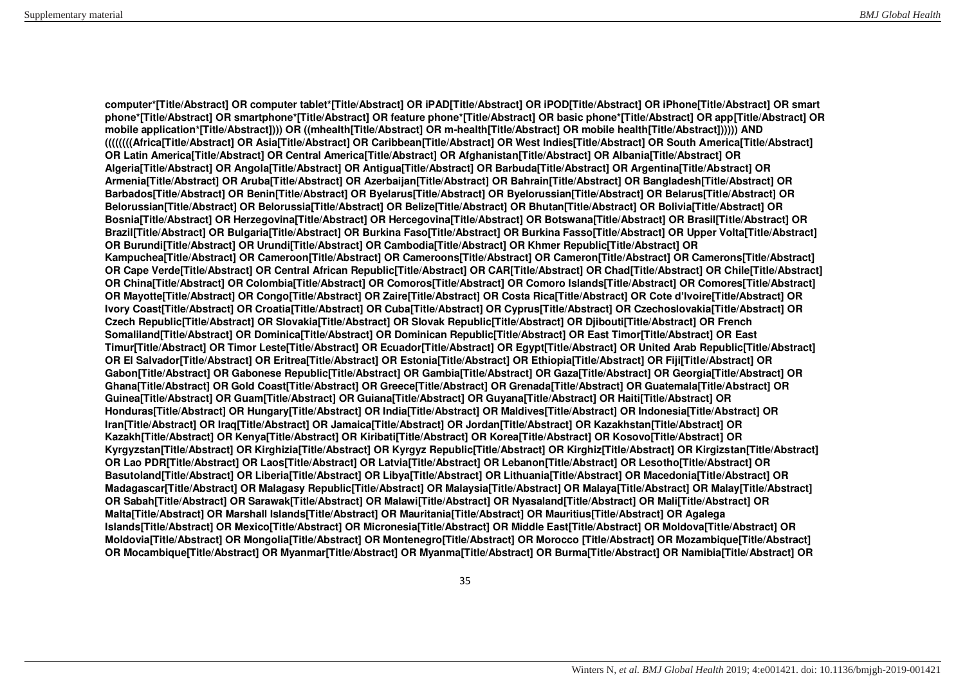**computer\*[Title/Abstract] OR computer tablet\*[Title/Abstract] OR iPAD[Title/Abstract] OR iPOD[Title/Abstract] OR iPhone[Title/Abstract] OR smart phone\*[Title/Abstract] OR smartphone\*[Title/Abstract] OR feature phone\*[Title/Abstract] OR basic phone\*[Title/Abstract] OR app[Title/Abstract] OR mobile application\*[Title/Abstract]))) OR ((mhealth[Title/Abstract] OR m-health[Title/Abstract] OR mobile health[Title/Abstract]))))) AND ((((((((Africa[Title/Abstract] OR Asia[Title/Abstract] OR Caribbean[Title/Abstract] OR West Indies[Title/Abstract] OR South America[Title/Abstract] OR Latin America[Title/Abstract] OR Central America[Title/Abstract] OR Afghanistan[Title/Abstract] OR Albania[Title/Abstract] OR Algeria[Title/Abstract] OR Angola[Title/Abstract] OR Antigua[Title/Abstract] OR Barbuda[Title/Abstract] OR Argentina[Title/Abstract] OR Armenia[Title/Abstract] OR Aruba[Title/Abstract] OR Azerbaijan[Title/Abstract] OR Bahrain[Title/Abstract] OR Bangladesh[Title/Abstract] OR Barbados[Title/Abstract] OR Benin[Title/Abstract] OR Byelarus[Title/Abstract] OR Byelorussian[Title/Abstract] OR Belarus[Title/Abstract] OR Belorussian[Title/Abstract] OR Belorussia[Title/Abstract] OR Belize[Title/Abstract] OR Bhutan[Title/Abstract] OR Bolivia[Title/Abstract] OR Bosnia[Title/Abstract] OR Herzegovina[Title/Abstract] OR Hercegovina[Title/Abstract] OR Botswana[Title/Abstract] OR Brasil[Title/Abstract] OR Brazil[Title/Abstract] OR Bulgaria[Title/Abstract] OR Burkina Faso[Title/Abstract] OR Burkina Fasso[Title/Abstract] OR Upper Volta[Title/Abstract] OR Burundi[Title/Abstract] OR Urundi[Title/Abstract] OR Cambodia[Title/Abstract] OR Khmer Republic[Title/Abstract] OR Kampuchea[Title/Abstract] OR Cameroon[Title/Abstract] OR Cameroons[Title/Abstract] OR Cameron[Title/Abstract] OR Camerons[Title/Abstract]**  OR Cape Verde[Title/Abstract] OR Central African Republic[Title/Abstract] OR CAR[Title/Abstract] OR Chad[Title/Abstract] OR Chile[Title/Abstract] **OR China[Title/Abstract] OR Colombia[Title/Abstract] OR Comoros[Title/Abstract] OR Comoro Islands[Title/Abstract] OR Comores[Title/Abstract] OR Mayotte[Title/Abstract] OR Congo[Title/Abstract] OR Zaire[Title/Abstract] OR Costa Rica[Title/Abstract] OR Cote d'Ivoire[Title/Abstract] OR Ivory Coast[Title/Abstract] OR Croatia[Title/Abstract] OR Cuba[Title/Abstract] OR Cyprus[Title/Abstract] OR Czechoslovakia[Title/Abstract] OR Czech Republic[Title/Abstract] OR Slovakia[Title/Abstract] OR Slovak Republic[Title/Abstract] OR Djibouti[Title/Abstract] OR French Somaliland[Title/Abstract] OR Dominica[Title/Abstract] OR Dominican Republic[Title/Abstract] OR East Timor[Title/Abstract] OR East Timur[Title/Abstract] OR Timor Leste[Title/Abstract] OR Ecuador[Title/Abstract] OR Egypt[Title/Abstract] OR United Arab Republic[Title/Abstract]**  OR El Salvador[Title/Abstract] OR Eritrea[Title/Abstract] OR Estonia[Title/Abstract] OR Ethiopia[Title/Abstract] OR Fiji[Title/Abstract] OR **Gabon[Title/Abstract] OR Gabonese Republic[Title/Abstract] OR Gambia[Title/Abstract] OR Gaza[Title/Abstract] OR Georgia[Title/Abstract] OR Ghana[Title/Abstract] OR Gold Coast[Title/Abstract] OR Greece[Title/Abstract] OR Grenada[Title/Abstract] OR Guatemala[Title/Abstract] OR Guinea[Title/Abstract] OR Guam[Title/Abstract] OR Guiana[Title/Abstract] OR Guyana[Title/Abstract] OR Haiti[Title/Abstract] OR Honduras[Title/Abstract] OR Hungary[Title/Abstract] OR India[Title/Abstract] OR Maldives[Title/Abstract] OR Indonesia[Title/Abstract] OR Iran[Title/Abstract] OR Iraq[Title/Abstract] OR Jamaica[Title/Abstract] OR Jordan[Title/Abstract] OR Kazakhstan[Title/Abstract] OR Kazakh[Title/Abstract] OR Kenya[Title/Abstract] OR Kiribati[Title/Abstract] OR Korea[Title/Abstract] OR Kosovo[Title/Abstract] OR Kyrgyzstan[Title/Abstract] OR Kirghizia[Title/Abstract] OR Kyrgyz Republic[Title/Abstract] OR Kirghiz[Title/Abstract] OR Kirgizstan[Title/Abstract] OR Lao PDR[Title/Abstract] OR Laos[Title/Abstract] OR Latvia[Title/Abstract] OR Lebanon[Title/Abstract] OR Lesotho[Title/Abstract] OR Basutoland[Title/Abstract] OR Liberia[Title/Abstract] OR Libya[Title/Abstract] OR Lithuania[Title/Abstract] OR Macedonia[Title/Abstract] OR Madagascar[Title/Abstract] OR Malagasy Republic[Title/Abstract] OR Malaysia[Title/Abstract] OR Malaya[Title/Abstract] OR Malay[Title/Abstract] OR Sabah[Title/Abstract] OR Sarawak[Title/Abstract] OR Malawi[Title/Abstract] OR Nyasaland[Title/Abstract] OR Mali[Title/Abstract] OR Malta[Title/Abstract] OR Marshall Islands[Title/Abstract] OR Mauritania[Title/Abstract] OR Mauritius[Title/Abstract] OR Agalega Islands[Title/Abstract] OR Mexico[Title/Abstract] OR Micronesia[Title/Abstract] OR Middle East[Title/Abstract] OR Moldova[Title/Abstract] OR Moldovia[Title/Abstract] OR Mongolia[Title/Abstract] OR Montenegro[Title/Abstract] OR Morocco [Title/Abstract] OR Mozambique[Title/Abstract] OR Mocambique[Title/Abstract] OR Myanmar[Title/Abstract] OR Myanma[Title/Abstract] OR Burma[Title/Abstract] OR Namibia[Title/Abstract] OR**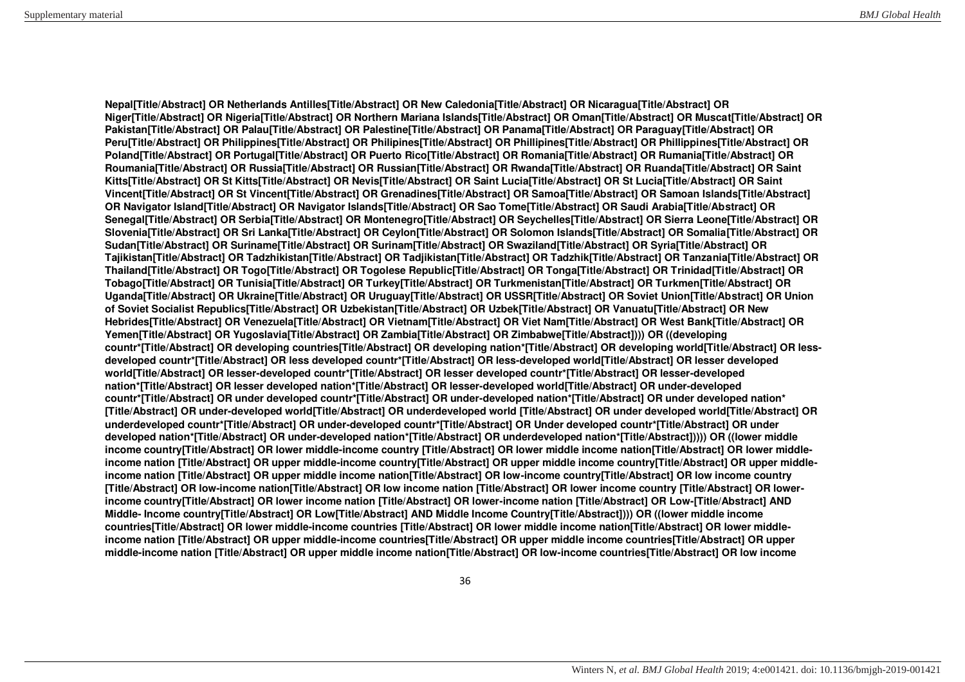**Nepal[Title/Abstract] OR Netherlands Antilles[Title/Abstract] OR New Caledonia[Title/Abstract] OR Nicaragua[Title/Abstract] OR Niger[Title/Abstract] OR Nigeria[Title/Abstract] OR Northern Mariana Islands[Title/Abstract] OR Oman[Title/Abstract] OR Muscat[Title/Abstract] OR**  Pakistan[Title/Abstract] OR Palau[Title/Abstract] OR Palestine[Title/Abstract] OR Panama[Title/Abstract] OR Paraguay[Title/Abstract] OR **Peru[Title/Abstract] OR Philippines[Title/Abstract] OR Philipines[Title/Abstract] OR Phillipines[Title/Abstract] OR Phillippines[Title/Abstract] OR Poland[Title/Abstract] OR Portugal[Title/Abstract] OR Puerto Rico[Title/Abstract] OR Romania[Title/Abstract] OR Rumania[Title/Abstract] OR Roumania[Title/Abstract] OR Russia[Title/Abstract] OR Russian[Title/Abstract] OR Rwanda[Title/Abstract] OR Ruanda[Title/Abstract] OR Saint Kitts[Title/Abstract] OR St Kitts[Title/Abstract] OR Nevis[Title/Abstract] OR Saint Lucia[Title/Abstract] OR St Lucia[Title/Abstract] OR Saint**  Vincent(Title/Abstract) OR St Vincent(Title/Abstract) OR Grenadines(Title/Abstract) OR Samoa(Title/Abstract) OR Samoan Islands(Title/Abstract) **OR Navigator Island[Title/Abstract] OR Navigator Islands[Title/Abstract] OR Sao Tome[Title/Abstract] OR Saudi Arabia[Title/Abstract] OR Senegal[Title/Abstract] OR Serbia[Title/Abstract] OR Montenegro[Title/Abstract] OR Seychelles[Title/Abstract] OR Sierra Leone[Title/Abstract] OR Slovenia[Title/Abstract] OR Sri Lanka[Title/Abstract] OR Ceylon[Title/Abstract] OR Solomon Islands[Title/Abstract] OR Somalia[Title/Abstract] OR Sudan[Title/Abstract] OR Suriname[Title/Abstract] OR Surinam[Title/Abstract] OR Swaziland[Title/Abstract] OR Syria[Title/Abstract] OR Tajikistan[Title/Abstract] OR Tadzhikistan[Title/Abstract] OR Tadjikistan[Title/Abstract] OR Tadzhik[Title/Abstract] OR Tanzania[Title/Abstract] OR Thailand[Title/Abstract] OR Togo[Title/Abstract] OR Togolese Republic[Title/Abstract] OR Tonga[Title/Abstract] OR Trinidad[Title/Abstract] OR Tobago[Title/Abstract] OR Tunisia[Title/Abstract] OR Turkey[Title/Abstract] OR Turkmenistan[Title/Abstract] OR Turkmen[Title/Abstract] OR**  Uganda[Title/Abstract] OR Ukraine[Title/Abstract] OR Uruguay[Title/Abstract] OR USSR[Title/Abstract] OR Soviet Union[Title/Abstract] OR Union **of Soviet Socialist Republics[Title/Abstract] OR Uzbekistan[Title/Abstract] OR Uzbek[Title/Abstract] OR Vanuatu[Title/Abstract] OR New Hebrides[Title/Abstract] OR Venezuela[Title/Abstract] OR Vietnam[Title/Abstract] OR Viet Nam[Title/Abstract] OR West Bank[Title/Abstract] OR Yemen[Title/Abstract] OR Yugoslavia[Title/Abstract] OR Zambia[Title/Abstract] OR Zimbabwe[Title/Abstract]))) OR ((developing countr\*[Title/Abstract] OR developing countries[Title/Abstract] OR developing nation\*[Title/Abstract] OR developing world[Title/Abstract] OR lessdeveloped countr\*[Title/Abstract] OR less developed countr\*[Title/Abstract] OR less-developed world[Title/Abstract] OR lesser developed world[Title/Abstract] OR lesser-developed countr\*[Title/Abstract] OR lesser developed countr\*[Title/Abstract] OR lesser-developed nation\*[Title/Abstract] OR lesser developed nation\*[Title/Abstract] OR lesser-developed world[Title/Abstract] OR under-developed countr\*[Title/Abstract] OR under developed countr\*[Title/Abstract] OR under-developed nation\*[Title/Abstract] OR under developed nation\* [Title/Abstract] OR under-developed world[Title/Abstract] OR underdeveloped world [Title/Abstract] OR under developed world[Title/Abstract] OR underdeveloped countr\*[Title/Abstract] OR under-developed countr\*[Title/Abstract] OR Under developed countr\*[Title/Abstract] OR under developed nation\*[Title/Abstract] OR under-developed nation\*[Title/Abstract] OR underdeveloped nation\*[Title/Abstract])))) OR ((lower middle income country[Title/Abstract] OR lower middle-income country [Title/Abstract] OR lower middle income nation[Title/Abstract] OR lower middleincome nation [Title/Abstract] OR upper middle-income country[Title/Abstract] OR upper middle income country[Title/Abstract] OR upper middleincome nation [Title/Abstract] OR upper middle income nation[Title/Abstract] OR low-income country[Title/Abstract] OR low income country [Title/Abstract] OR low-income nation[Title/Abstract] OR low income nation [Title/Abstract] OR lower income country [Title/Abstract] OR lowerincome country[Title/Abstract] OR lower income nation [Title/Abstract] OR lower-income nation [Title/Abstract] OR Low-[Title/Abstract] AND Middle- Income country[Title/Abstract] OR Low[Title/Abstract] AND Middle Income Country[Title/Abstract]))) OR ((lower middle income countries[Title/Abstract] OR lower middle-income countries [Title/Abstract] OR lower middle income nation[Title/Abstract] OR lower middleincome nation [Title/Abstract] OR upper middle-income countries[Title/Abstract] OR upper middle income countries[Title/Abstract] OR upper middle-income nation [Title/Abstract] OR upper middle income nation[Title/Abstract] OR low-income countries[Title/Abstract] OR low income**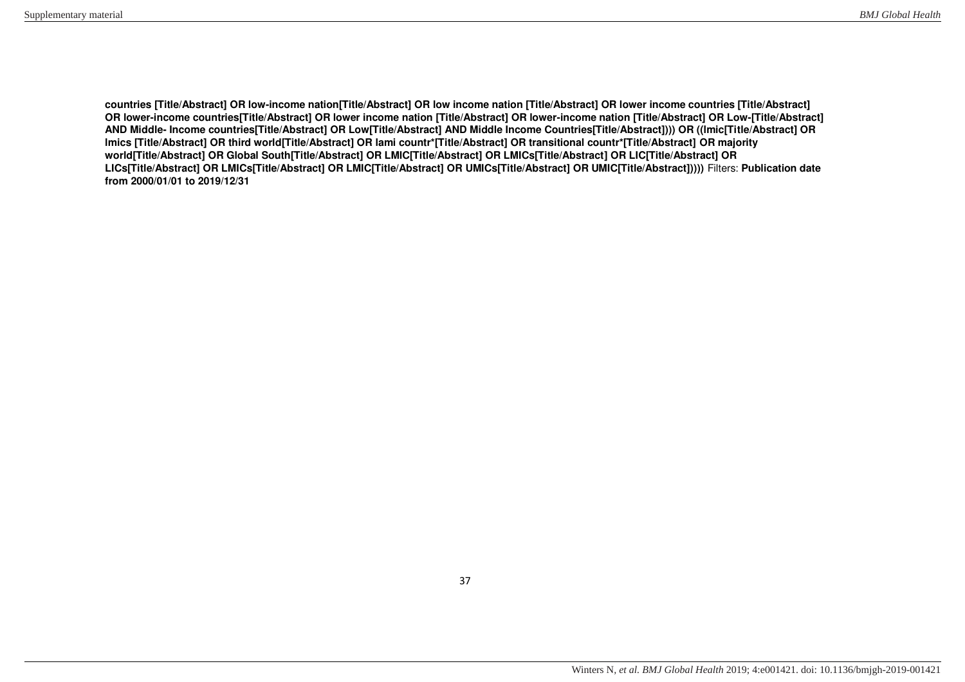**countries [Title/Abstract] OR low-income nation[Title/Abstract] OR low income nation [Title/Abstract] OR lower income countries [Title/Abstract] OR lower-income countries[Title/Abstract] OR lower income nation [Title/Abstract] OR lower-income nation [Title/Abstract] OR Low-[Title/Abstract] AND Middle- Income countries[Title/Abstract] OR Low[Title/Abstract] AND Middle Income Countries[Title/Abstract]))) OR ((lmic[Title/Abstract] OR lmics [Title/Abstract] OR third world[Title/Abstract] OR lami countr\*[Title/Abstract] OR transitional countr\*[Title/Abstract] OR majority world[Title/Abstract] OR Global South[Title/Abstract] OR LMIC[Title/Abstract] OR LMICs[Title/Abstract] OR LIC[Title/Abstract] OR LICs[Title/Abstract] OR LMICs[Title/Abstract] OR LMIC[Title/Abstract] OR UMICs[Title/Abstract] OR UMIC[Title/Abstract]))))** Filters: **Publication date from 2000/01/01 to 2019/12/31**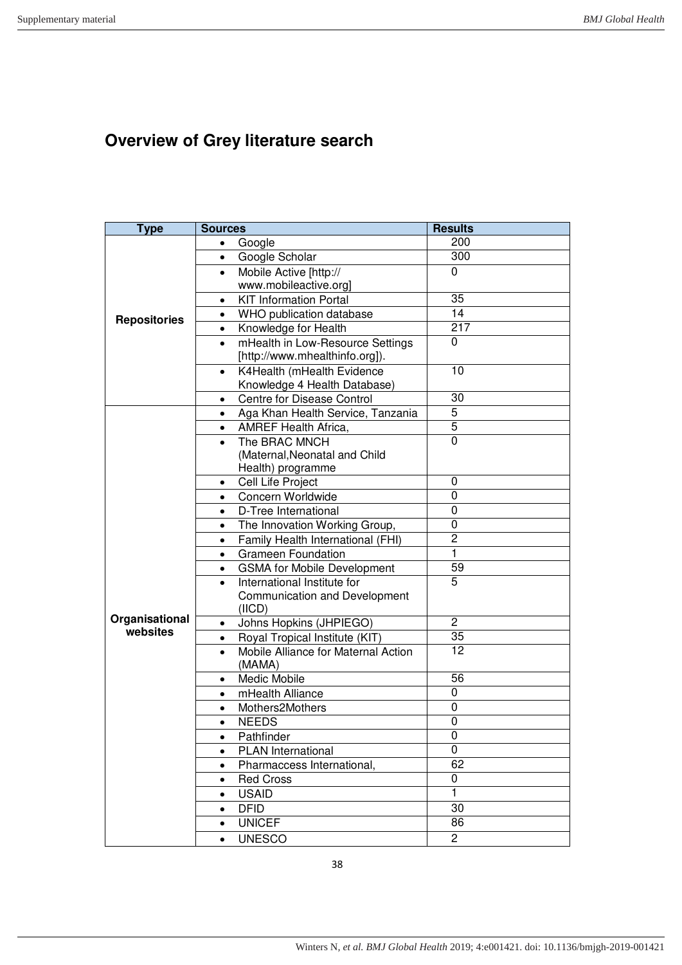# **Overview of Grey literature search**

| <b>Type</b>         | <b>Sources</b>                                 | <b>Results</b>  |
|---------------------|------------------------------------------------|-----------------|
|                     | Google<br>$\bullet$                            | 200             |
|                     | Google Scholar<br>$\bullet$                    | 300             |
|                     | Mobile Active [http://<br>$\bullet$            | 0               |
|                     | www.mobileactive.org]                          |                 |
|                     | <b>KIT Information Portal</b><br>$\bullet$     | $\overline{35}$ |
| <b>Repositories</b> | WHO publication database<br>$\bullet$          | 14              |
|                     | Knowledge for Health<br>$\bullet$              | 217             |
|                     | mHealth in Low-Resource Settings<br>$\bullet$  | 0               |
|                     | [http://www.mhealthinfo.org]).                 |                 |
|                     | K4Health (mHealth Evidence<br>$\bullet$        | $\overline{10}$ |
|                     | Knowledge 4 Health Database)                   |                 |
|                     | Centre for Disease Control<br>$\bullet$        | 30              |
|                     | Aga Khan Health Service, Tanzania<br>$\bullet$ | $\overline{5}$  |
|                     | <b>AMREF Health Africa,</b><br>$\bullet$       | $\overline{5}$  |
|                     | The BRAC MNCH<br>$\bullet$                     | $\mathbf{0}$    |
|                     | (Maternal, Neonatal and Child                  |                 |
|                     | Health) programme<br>Cell Life Project         | 0               |
|                     | $\bullet$<br>Concern Worldwide                 | 0               |
|                     | $\bullet$<br>D-Tree International<br>$\bullet$ | 0               |
|                     | The Innovation Working Group,<br>$\bullet$     | $\mathbf 0$     |
|                     | Family Health International (FHI)<br>$\bullet$ | $\overline{c}$  |
|                     | <b>Grameen Foundation</b><br>$\bullet$         | 1               |
|                     | <b>GSMA for Mobile Development</b>             | 59              |
|                     | International Institute for                    | 5               |
|                     | Communication and Development                  |                 |
|                     | (IICD)                                         |                 |
| Organisational      | Johns Hopkins (JHPIEGO)                        | $\overline{2}$  |
| websites            | Royal Tropical Institute (KIT)<br>$\bullet$    | 35              |
|                     | Mobile Alliance for Maternal Action<br>(MAMA)  | 12              |
|                     | Medic Mobile<br>$\bullet$                      | 56              |
|                     | mHealth Alliance<br>$\bullet$                  | 0               |
|                     | Mothers2Mothers<br>$\bullet$                   | $\mathbf 0$     |
|                     | <b>NEEDS</b><br>$\bullet$                      | $\overline{0}$  |
|                     | Pathfinder<br>٠                                | 0               |
|                     | <b>PLAN</b> International<br>$\bullet$         | $\overline{0}$  |
|                     | Pharmaccess International,<br>$\bullet$        | 62              |
|                     | <b>Red Cross</b><br>$\bullet$                  | 0               |
|                     | <b>USAID</b><br>$\bullet$                      | $\overline{1}$  |
|                     | <b>DFID</b><br>$\bullet$                       | 30              |
|                     | <b>UNICEF</b><br>$\bullet$                     | 86              |
|                     | <b>UNESCO</b><br>$\bullet$                     | $\overline{2}$  |

Winters N*, et al. BMJ Global Health* 2019; 4:e001421. doi: 10.1136/bmjgh-2019-001421